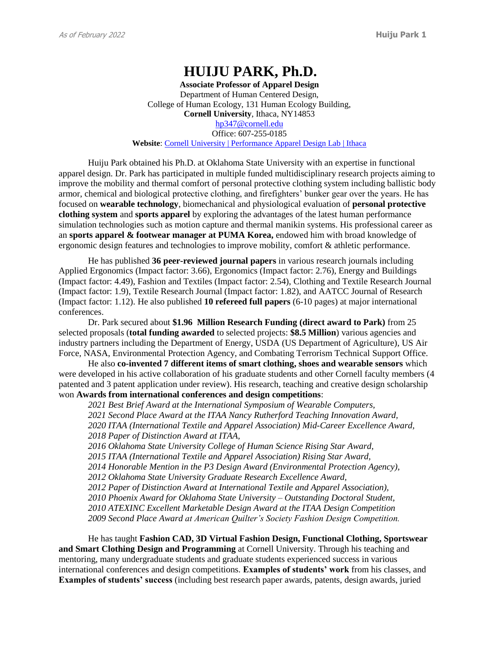# **HUIJU PARK, Ph.D.**

**Associate Professor of Apparel Design** Department of Human Centered Design, College of Human Ecology, 131 Human Ecology Building, **Cornell University**, Ithaca, NY14853 [hp347@cornell.edu](mailto:hp347@cornell.edu) Office: 607-255-0185 **Website**: [Cornell University | Performance Apparel Design Lab | Ithaca](https://www.performancewear.human.cornell.edu/)

Huiju Park obtained his Ph.D. at Oklahoma State University with an expertise in functional apparel design. Dr. Park has participated in multiple funded multidisciplinary research projects aiming to improve the mobility and thermal comfort of personal protective clothing system including ballistic body armor, chemical and biological protective clothing, and firefighters' bunker gear over the years. He has focused on **wearable technology**, biomechanical and physiological evaluation of **personal protective clothing system** and **sports apparel** by exploring the advantages of the latest human performance simulation technologies such as motion capture and thermal manikin systems. His professional career as an **sports apparel & footwear manager at PUMA Korea,** endowed him with broad knowledge of ergonomic design features and technologies to improve mobility, comfort & athletic performance.

He has published **36 peer-reviewed journal papers** in various research journals including Applied Ergonomics (Impact factor: 3.66), Ergonomics (Impact factor: 2.76), Energy and Buildings (Impact factor: 4.49), Fashion and Textiles (Impact factor: 2.54), Clothing and Textile Research Journal (Impact factor: 1.9), Textile Research Journal (Impact factor: 1.82), and AATCC Journal of Research (Impact factor: 1.12). He also published **10 refereed full papers** (6-10 pages) at major international conferences.

Dr. Park secured about **\$1.96 Million Research Funding (direct award to Park)** from 25 selected proposals (**total funding awarded** to selected projects: **\$8.5 Million**) various agencies and industry partners including the Department of Energy, USDA (US Department of Agriculture), US Air Force, NASA, Environmental Protection Agency, and Combating Terrorism Technical Support Office.

He also **co-invented 7 different items of smart clothing, shoes and wearable sensors** which were developed in his active collaboration of his graduate students and other Cornell faculty members (4 patented and 3 patent application under review). His research, teaching and creative design scholarship won **Awards from international conferences and design competitions**:

*2021 Best Brief Award at the International Symposium of Wearable Computers, 2021 Second Place Award at the ITAA Nancy Rutherford Teaching Innovation Award, 2020 ITAA (International Textile and Apparel Association) Mid-Career Excellence Award, 2018 Paper of Distinction Award at ITAA,* 

*2016 Oklahoma State University College of Human Science Rising Star Award, 2015 ITAA (International Textile and Apparel Association) Rising Star Award,* 

*2014 Honorable Mention in the P3 Design Award (Environmental Protection Agency),* 

*2012 Oklahoma State University Graduate Research Excellence Award,* 

*2012 Paper of Distinction Award at International Textile and Apparel Association),* 

*2010 Phoenix Award for Oklahoma State University – Outstanding Doctoral Student,*

*2010 ATEXINC Excellent Marketable Design Award at the ITAA Design Competition*

*2009 Second Place Award at American Quilter's Society Fashion Design Competition.* 

He has taught **Fashion CAD, 3D Virtual Fashion Design, Functional Clothing, Sportswear and Smart Clothing Design and Programming** at Cornell University. Through his teaching and mentoring, many undergraduate students and graduate students experienced success in various international conferences and design competitions. **Examples of students' work** from his classes, and **Examples of students' success** (including best research paper awards, patents, design awards, juried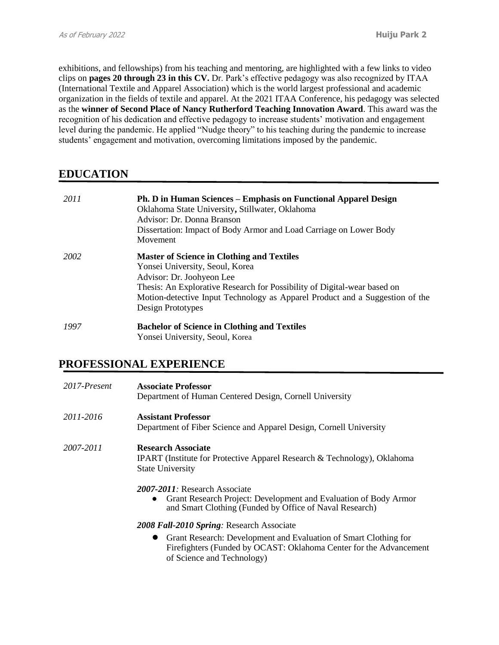exhibitions, and fellowships) from his teaching and mentoring, are highlighted with a few links to video clips on **pages 20 through 23 in this CV.** Dr. Park's effective pedagogy was also recognized by ITAA (International Textile and Apparel Association) which is the world largest professional and academic organization in the fields of textile and apparel. At the 2021 ITAA Conference, his pedagogy was selected as the **winner of Second Place of Nancy Rutherford Teaching Innovation Award**. This award was the recognition of his dedication and effective pedagogy to increase students' motivation and engagement level during the pandemic. He applied "Nudge theory" to his teaching during the pandemic to increase students' engagement and motivation, overcoming limitations imposed by the pandemic.

# **EDUCATION**

| 2011 | <b>Ph. D in Human Sciences – Emphasis on Functional Apparel Design</b><br>Oklahoma State University, Stillwater, Oklahoma<br>Advisor: Dr. Donna Branson<br>Dissertation: Impact of Body Armor and Load Carriage on Lower Body<br>Movement                                                          |
|------|----------------------------------------------------------------------------------------------------------------------------------------------------------------------------------------------------------------------------------------------------------------------------------------------------|
| 2002 | <b>Master of Science in Clothing and Textiles</b><br>Yonsei University, Seoul, Korea<br>Advisor: Dr. Joohyeon Lee<br>Thesis: An Explorative Research for Possibility of Digital-wear based on<br>Motion-detective Input Technology as Apparel Product and a Suggestion of the<br>Design Prototypes |
| 1997 | <b>Bachelor of Science in Clothing and Textiles</b><br>Yonsei University, Seoul, Korea                                                                                                                                                                                                             |

# **PROFESSIONAL EXPERIENCE**

| 2017-Present | <b>Associate Professor</b><br>Department of Human Centered Design, Cornell University                                                                                     |
|--------------|---------------------------------------------------------------------------------------------------------------------------------------------------------------------------|
| 2011-2016    | <b>Assistant Professor</b><br>Department of Fiber Science and Apparel Design, Cornell University                                                                          |
| 2007-2011    | <b>Research Associate</b><br><b>IPART</b> (Institute for Protective Apparel Research & Technology), Oklahoma<br><b>State University</b>                                   |
|              | 2007-2011: Research Associate<br>Grant Research Project: Development and Evaluation of Body Armor<br>$\bullet$<br>and Smart Clothing (Funded by Office of Naval Research) |
|              | 2008 Fall-2010 Spring: Research Associate                                                                                                                                 |
|              | Grant Research: Development and Evaluation of Smart Clothing for<br>Firefighters (Funded by OCAST: Oklahoma Center for the Advancement<br>of Science and Technology)      |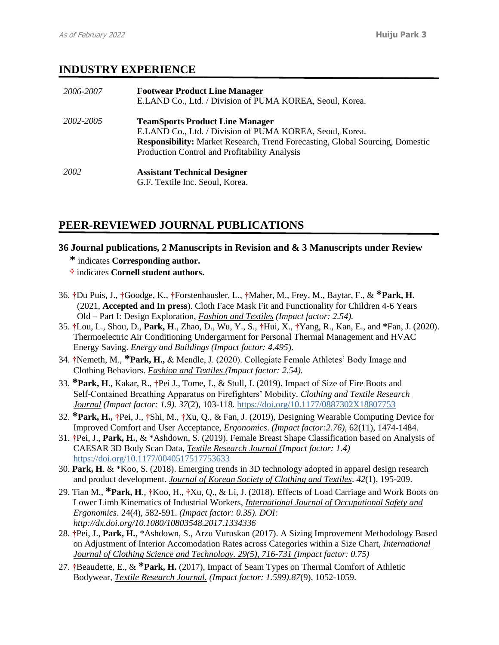# **INDUSTRY EXPERIENCE**

| 2006-2007 | <b>Footwear Product Line Manager</b><br>E.LAND Co., Ltd. / Division of PUMA KOREA, Seoul, Korea.                                                                                                                                            |
|-----------|---------------------------------------------------------------------------------------------------------------------------------------------------------------------------------------------------------------------------------------------|
| 2002-2005 | <b>TeamSports Product Line Manager</b><br>E.LAND Co., Ltd. / Division of PUMA KOREA, Seoul, Korea.<br><b>Responsibility:</b> Market Research, Trend Forecasting, Global Sourcing, Domestic<br>Production Control and Profitability Analysis |
| 2002      | <b>Assistant Technical Designer</b><br>G.F. Textile Inc. Seoul, Korea.                                                                                                                                                                      |

# **PEER-REVIEWED JOURNAL PUBLICATIONS**

**36 Journal publications, 2 Manuscripts in Revision and & 3 Manuscripts under Review**

**\*** indicates **Corresponding author.**

**†** indicates **Cornell student authors.**

- 36. **†**Du Puis, J., **†**Goodge, K., **†**Forstenhausler, L., **†**Maher, M., Frey, M., Baytar, F., & **\*Park, H.** (2021, **Accepted and In press**). Cloth Face Mask Fit and Functionality for Children 4-6 Years Old – Part I: Design Exploration, *Fashion and Textiles (Impact factor: 2.54).*
- 35. **†**Lou, L., Shou, D., **Park, H**., Zhao, D., Wu, Y., S., **†**Hui, X., **†**Yang, R., Kan, E., and **\***Fan, J. (2020). Thermoelectric Air Conditioning Undergarment for Personal Thermal Management and HVAC Energy Saving. *Energy and Buildings (Impact factor: 4.495*).
- 34. **†**Nemeth, M., **\*Park, H.,** & Mendle, J. (2020). Collegiate Female Athletes' Body Image and Clothing Behaviors. *Fashion and Textiles (Impact factor: 2.54).*
- 33. **\*Park, H**., Kakar, R., **†**Pei J., Tome, J., & Stull, J. (2019). Impact of Size of Fire Boots and Self-Contained Breathing Apparatus on Firefighters' Mobility*. Clothing and Textile Research Journal (Impact factor: 1.9). 37*(2), 103-118*.* [https://doi.org/10.1177/0887302X18807753](https://doi.org/10.1177%2F0887302X18807753)
- 32. **\*Park, H., †**Pei, J., **†**Shi, M., **†**Xu, Q., & Fan, J. (2019), Designing Wearable Computing Device for Improved Comfort and User Acceptance, *Ergonomics*. *(Impact factor:2.76),* 62(11), 1474-1484.
- 31. **†**Pei, J., **Park, H.**, & \*Ashdown, S. (2019). Female Breast Shape Classification based on Analysis of CAESAR 3D Body Scan Data, *Textile Research Journal (Impact factor: 1.4)* [https://doi.org/10.1177/0040517517753633](https://doi.org/10.1177%2F0040517517753633)
- 30. **Park, H**. & \*Koo, S. (2018). Emerging trends in 3D technology adopted in apparel design research and product development. *Journal of Korean Society of Clothing and Textiles*. *42*(1), 195-209.
- 29. Tian M., **\*Park, H**., **†**Koo, H., **†**Xu, Q., & Li, J. (2018). Effects of Load Carriage and Work Boots on Lower Limb Kinematics of Industrial Workers, *International Journal of Occupational Safety and Ergonomics*. 24(4), 582-591. *(Impact factor: 0.35). DOI: http://dx.doi.org/10.1080/10803548.2017.1334336*
- 28. **†**Pei, J., **Park, H.**, \*Ashdown, S., Arzu Vuruskan (2017). A Sizing Improvement Methodology Based on Adjustment of Interior Accomodation Rates across Categories within a Size Chart, *International Journal of Clothing Science and Technology. 29(5), 716-731 (Impact factor: 0.75)*
- 27. **†**Beaudette, E., & **\*Park, H.** (2017), Impact of Seam Types on Thermal Comfort of Athletic Bodywear, *Textile Research Journal. (Impact factor: 1.599).87*(9), 1052-1059.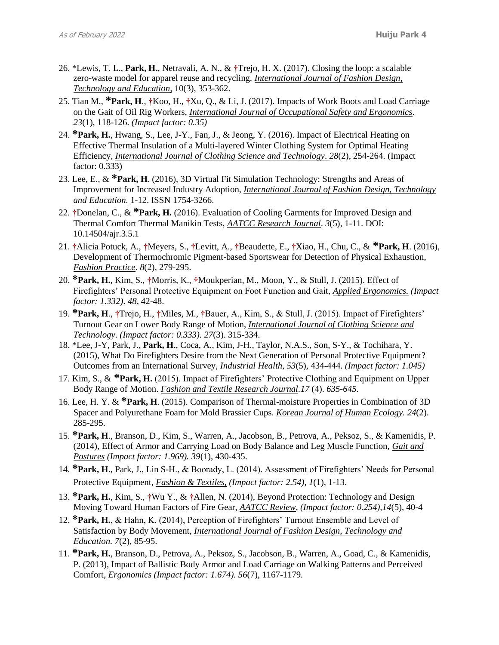- 26. \*Lewis, T. L., **Park, H.**, Netravali, A. N., & **†**Trejo, H. X. (2017). Closing the loop: a scalable zero-waste model for apparel reuse and recycling. *International Journal of Fashion Design, Technology and Education,* 10(3), 353-362.
- 25. Tian M., **\*Park, H**., **†**Koo, H., **†**Xu, Q., & Li, J. (2017). Impacts of Work Boots and Load Carriage on the Gait of Oil Rig Workers, *International Journal of Occupational Safety and Ergonomics*. *23*(1), 118-126. *(Impact factor: 0.35)*
- 24. **\*Park, H.**, Hwang, S., Lee, J-Y., Fan, J., & Jeong, Y. (2016). Impact of Electrical Heating on Effective Thermal Insulation of a Multi-layered Winter Clothing System for Optimal Heating Efficiency, *International Journal of Clothing Science and Technology*. *28*(2), 254-264. (Impact factor: 0.333)
- 23. Lee, E., & **\*Park, H**. (2016), 3D Virtual Fit Simulation Technology: Strengths and Areas of Improvement for Increased Industry Adoption, *International Journal of Fashion Design, Technology and Education.* 1-12. ISSN 1754-3266.
- 22. **†**Donelan, C., & **\*Park, H.** (2016). Evaluation of Cooling Garments for Improved Design and Thermal Comfort Thermal Manikin Tests, *AATCC Research Journal*. *3*(5), 1-11. DOI: 10.14504/ajr.3.5.1
- 21. **†**Alicia Potuck, A., **†**Meyers, S., **†**Levitt, A., **†**Beaudette, E., **†**Xiao, H., Chu, C., & **\*Park, H**. (2016), Development of Thermochromic Pigment-based Sportswear for Detection of Physical Exhaustion, *Fashion Practice*. *8*(2), 279-295.
- 20. **\*Park, H.**, Kim, S., **†**Morris, K., **†**Moukperian, M., Moon, Y., & Stull, J. (2015). Effect of Firefighters' Personal Protective Equipment on Foot Function and Gait, *Applied Ergonomics. (Impact factor: 1.332)*. *48*, 42-48.
- 19. **\*Park, H**., **†**Trejo, H., **†**Miles, M., **†**Bauer, A., Kim, S., & Stull, J. (2015). Impact of Firefighters' Turnout Gear on Lower Body Range of Motion, *International Journal of Clothing Science and Technology*. *(Impact factor: 0.333). 27*(3). 315-334.
- 18. \*Lee, J-Y, Park, J., **Park, H**., Coca, A., Kim, J-H., Taylor, N.A.S., Son, S-Y., & Tochihara, Y. (2015), What Do Firefighters Desire from the Next Generation of Personal Protective Equipment? Outcomes from an International Survey, *Industrial Health, 53*(5), 434-444. *(Impact factor: 1.045)*
- 17. Kim, S., & **\*Park, H.** (2015). Impact of Firefighters' Protective Clothing and Equipment on Upper Body Range of Motion. *Fashion and Textile Research Journal.17* (4). *635-645.*
- 16. Lee, H. Y. & **\*Park, H**. (2015). Comparison of Thermal-moisture Properties in Combination of 3D Spacer and Polyurethane Foam for Mold Brassier Cups. *Korean Journal of Human Ecology. 24*(2). 285-295.
- 15. **\*Park, H**., Branson, D., Kim, S., Warren, A., Jacobson, B., Petrova, A., Peksoz, S., & Kamenidis, P. (2014), Effect of Armor and Carrying Load on Body Balance and Leg Muscle Function, *Gait and Postures (Impact factor: 1.969). 39*(1), 430-435.
- 14. **\*Park, H**., Park, J., Lin S-H., & Boorady, L. (2014). Assessment of Firefighters' Needs for Personal Protective Equipment, *Fashion & Textiles, (Impact factor: 2.54), 1*(1), 1-13.
- 13. **\*Park, H.**, Kim, S., **†**Wu Y., & **†**Allen, N. (2014), Beyond Protection: Technology and Design Moving Toward Human Factors of Fire Gear, *AATCC Review*, *(Impact factor: 0.254),14*(5), 40-4
- 12. **\*Park, H.**, & Hahn, K. (2014), Perception of Firefighters' Turnout Ensemble and Level of Satisfaction by Body Movement, *International Journal of Fashion Design, Technology and Education. 7*(2), 85-95.
- 11. **\*Park, H.**, Branson, D., Petrova, A., Peksoz, S., Jacobson, B., Warren, A., Goad, C., & Kamenidis, P. (2013), Impact of Ballistic Body Armor and Load Carriage on Walking Patterns and Perceived Comfort, *Ergonomics (Impact factor: 1.674). 56*(7), 1167-1179*.*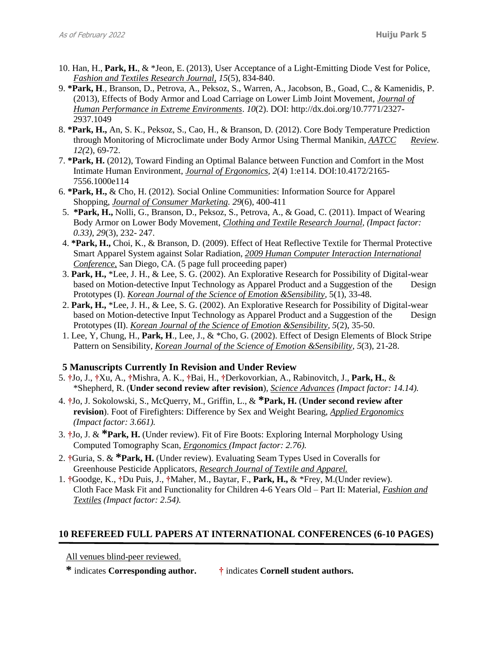- 10. Han, H., **Park, H.**, & \*Jeon, E. (2013), User Acceptance of a Light-Emitting Diode Vest for Police, *Fashion and Textiles Research Journal, 15*(5), 834-840.
- 9. **\*Park, H**., Branson, D., Petrova, A., Peksoz, S., Warren, A., Jacobson, B., Goad, C., & Kamenidis, P. (2013), Effects of Body Armor and Load Carriage on Lower Limb Joint Movement, *Journal of Human Performance in Extreme Environments*. *10*(2). DOI: [http://dx.doi.org/10.7771/2327-](http://dx.doi.org/10.7771/2327-2937.1049) [2937.1049](http://dx.doi.org/10.7771/2327-2937.1049)
- 8. **\*Park, H.,** An, S. K., Peksoz, S., Cao, H., & Branson, D. (2012). Core Body Temperature Prediction through Monitoring of Microclimate under Body Armor Using Thermal Manikin*, AATCC Review*. *12(*2), 69-72.
- 7. **\*Park, H.** (2012), Toward Finding an Optimal Balance between Function and Comfort in the Most Intimate Human Environment, *Journal of Ergonomics, 2*(4) 1:e114. DOI:10.4172/2165- 7556.1000e114
- 6. **\*Park, H.,** & Cho, H. (2012)*.* Social Online Communities: Information Source for Apparel Shopping, *Journal of Consumer Marketing. 29*(6), 400-411
- 5. **\*Park, H.,** Nolli, G., Branson, D., Peksoz, S., Petrova, A., & Goad, C. (2011). Impact of Wearing Body Armor on Lower Body Movement, *Clothing and Textile Research Journal, (Impact factor: 0.33)*, *29*(3), 232- 247.
- 4. **\*Park, H.,** Choi, K., & Branson, D. (2009). Effect of Heat Reflective Textile for Thermal Protective Smart Apparel System against Solar Radiation, *2009 Human Computer Interaction International Conference,* San Diego, CA. (5 page full proceeding paper)
- 3. **Park, H.,** \*Lee, J. H., & Lee, S. G. (2002). An Explorative Research for Possibility of Digital-wear based on Motion-detective Input Technology as Apparel Product and a Suggestion of the Design Prototypes (I). *Korean Journal of the Science of Emotion &Sensibility,* 5(1), 33-48.
- 2. **Park, H.,** \*Lee, J. H., & Lee, S. G. (2002). An Explorative Research for Possibility of Digital-wear based on Motion-detective Input Technology as Apparel Product and a Suggestion of the Design Prototypes (II). *Korean Journal of the Science of Emotion &Sensibility, 5*(2), 35-50.
- 1. Lee, Y, Chung, H., **Park, H**., Lee, J., & \*Cho, G. (2002). Effect of Design Elements of Block Stripe Pattern on Sensibility, *Korean Journal of the Science of Emotion &Sensibility, 5*(3), 21-28.

### **5 Manuscripts Currently In Revision and Under Review**

- 5. **†**Jo, J., **†**Xu, A., **†**Mishra, A. K., **†**Bai, H., **†**Derkovorkian, A., Rabinovitch, J., **Park, H.**, & \*Shepherd, R. (**Under second review after revision**), *Science Advances (Impact factor: 14.14).*
- 4. **†**Jo, J. Sokolowski, S., McQuerry, M., Griffin, L., & **\*Park, H.** (**Under second review after revision**). Foot of Firefighters: Difference by Sex and Weight Bearing, *Applied Ergonomics (Impact factor: 3.661).*
- 3. **†**Jo, J. & **\*Park, H.** (Under review). Fit of Fire Boots: Exploring Internal Morphology Using Computed Tomography Scan, *Ergonomics (Impact factor: 2.76).*
- 2. **†**Guria, S. & **\*Park, H.** (Under review). Evaluating Seam Types Used in Coveralls for Greenhouse Pesticide Applicators, *Research Journal of Textile and Apparel.*
- 1. **†**Goodge, K., **†**Du Puis, J., **†**Maher, M., Baytar, F., **Park, H.,** & \*Frey, M.(Under review). Cloth Face Mask Fit and Functionality for Children 4-6 Years Old – Part II: Material, *Fashion and Textiles (Impact factor: 2.54).*

### **10 REFEREED FULL PAPERS AT INTERNATIONAL CONFERENCES (6-10 PAGES)**

All venues blind-peer reviewed.

**\*** indicates **Corresponding author. †** indicates **Cornell student authors.**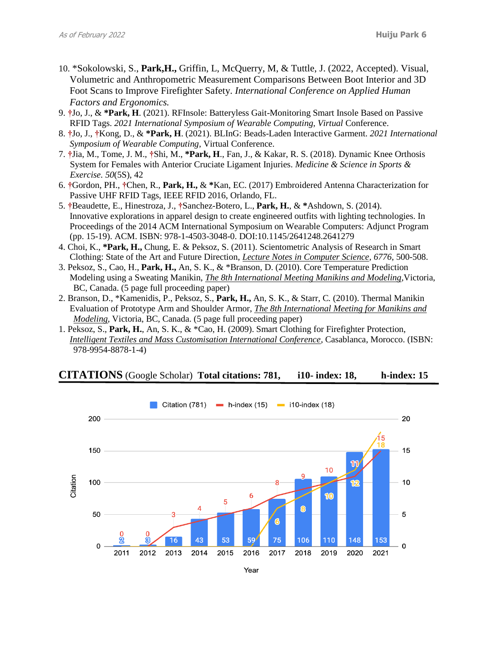- 10. \*Sokolowski, S., **Park,H.,** Griffin, L, McQuerry, M, & Tuttle, J. (2022, Accepted). Visual, Volumetric and Anthropometric Measurement Comparisons Between Boot Interior and 3D Foot Scans to Improve Firefighter Safety. *International Conference on Applied Human Factors and Ergonomics.*
- 9. **†**Jo, J., & **\*Park, H**. (2021). RFInsole: Batteryless Gait-Monitoring Smart Insole Based on Passive RFID Tags. *2021 International Symposium of Wearable Computing, Virtual* Conference.
- 8. **†**Jo, J., **†**Kong, D., & **\*Park, H**. (2021). BLInG: Beads-Laden Interactive Garment. *2021 International Symposium of Wearable Computing*, Virtual Conference.
- 7. **†**Jia, M., Tome, J. M., **†**Shi, M., **\*Park, H**., Fan, J., & Kakar, R. S. (2018). Dynamic Knee Orthosis System for Females with Anterior Cruciate Ligament Injuries. *Medicine & Science in Sports & Exercise. 50*(5S), 42
- 6. **†**Gordon, PH., **†**Chen, R., **Park, H.,** & **\***Kan, EC. (2017) Embroidered Antenna Characterization for Passive UHF RFID Tags, IEEE RFID 2016, Orlando, FL.
- 5. **†**Beaudette, E., Hinestroza, J., **†**Sanchez-Botero, L., **Park, H.**, & **\***Ashdown, S. (2014). Innovative explorations in apparel design to create engineered outfits with lighting technologies. In Proceedings of the 2014 ACM International Symposium on Wearable Computers: Adjunct Program (pp. 15-19). ACM. ISBN: 978-1-4503-3048-0. DOI:10.1145/2641248.2641279
- 4. Choi, K., **\*Park, H.,** Chung, E. & Peksoz, S. (2011). Scientometric Analysis of Research in Smart Clothing: State of the Art and Future Direction, *Lecture Notes in Computer Science, 6776*, 500-508.
- 3. Peksoz, S., Cao, H., **Park, H.,** An, S. K., & \*Branson, D. (2010). Core Temperature Prediction Modeling using a Sweating Manikin, *The 8th International Meeting Manikins and Modeling,*Victoria, BC, Canada. (5 page full proceeding paper)
- 2. Branson, D., \*Kamenidis, P., Peksoz, S., **Park, H.,** An, S. K., & Starr, C*.* (2010). Thermal Manikin Evaluation of Prototype Arm and Shoulder Armor, *The 8th International Meeting for Manikins and Modeling,* Victoria, BC, Canada. (5 page full proceeding paper)
- 1. Peksoz, S., **Park, H.**, An, S. K., & \*Cao, H. (2009). Smart Clothing for Firefighter Protection, *Intelligent Textiles and Mass Customisation International Conference,* Casablanca, Morocco. (ISBN: 978-9954-8878-1-4)

### **CITATIONS** (Google Scholar) **Total citations: 781, i10- index: 18, h-index: 15**

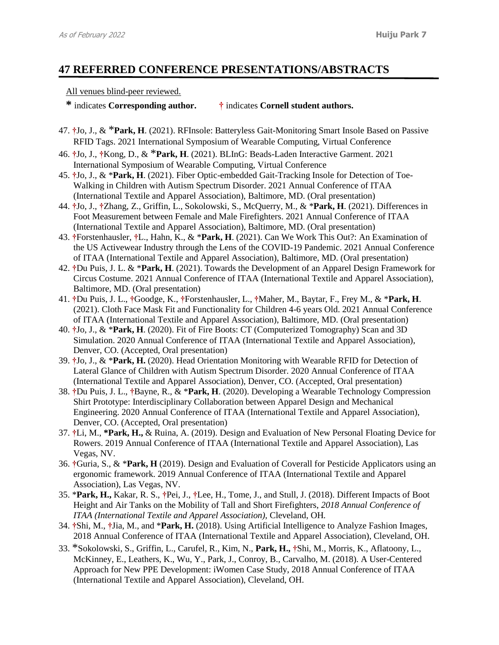# **47 REFERRED CONFERENCE PRESENTATIONS/ABSTRACTS**

### All venues blind-peer reviewed.

```
* indicates Corresponding author. † indicates Cornell student authors.
```
- 47. **†**Jo, J., & \***Park, H**. (2021). RFInsole: Batteryless Gait-Monitoring Smart Insole Based on Passive RFID Tags. 2021 International Symposium of Wearable Computing, Virtual Conference
- 46. **†**Jo, J., **†**Kong, D., & \***Park, H**. (2021). BLInG: Beads-Laden Interactive Garment. 2021 International Symposium of Wearable Computing, Virtual Conference
- 45. **†**Jo, J., & \***Park, H**. (2021). Fiber Optic-embedded Gait-Tracking Insole for Detection of Toe-Walking in Children with Autism Spectrum Disorder. 2021 Annual Conference of ITAA (International Textile and Apparel Association), Baltimore, MD. (Oral presentation)
- 44. **†**Jo, J., **†**Zhang, Z., Griffin, L., Sokolowski, S., McQuerry, M., & \***Park, H**. (2021). Differences in Foot Measurement between Female and Male Firefighters. 2021 Annual Conference of ITAA (International Textile and Apparel Association), Baltimore, MD. (Oral presentation)
- 43. **†**Forstenhausler, **†**L., Hahn, K., & \***Park, H**. (2021). Can We Work This Out?: An Examination of the US Activewear Industry through the Lens of the COVID-19 Pandemic. 2021 Annual Conference of ITAA (International Textile and Apparel Association), Baltimore, MD. (Oral presentation)
- 42. **†**Du Puis, J. L. & \***Park, H**. (2021). Towards the Development of an Apparel Design Framework for Circus Costume. 2021 Annual Conference of ITAA (International Textile and Apparel Association), Baltimore, MD. (Oral presentation)
- 41. **†**Du Puis, J. L., **†**Goodge, K., **†**Forstenhausler, L., **†**Maher, M., Baytar, F., Frey M., & \***Park, H**. (2021). Cloth Face Mask Fit and Functionality for Children 4-6 years Old. 2021 Annual Conference of ITAA (International Textile and Apparel Association), Baltimore, MD. (Oral presentation)
- 40. **†**Jo, J., & \***Park, H**. (2020). Fit of Fire Boots: CT (Computerized Tomography) Scan and 3D Simulation. 2020 Annual Conference of ITAA (International Textile and Apparel Association), Denver, CO. (Accepted, Oral presentation)
- 39. **†**Jo, J., & \***Park, H.** (2020). Head Orientation Monitoring with Wearable RFID for Detection of Lateral Glance of Children with Autism Spectrum Disorder. 2020 Annual Conference of ITAA (International Textile and Apparel Association), Denver, CO. (Accepted, Oral presentation)
- 38. **†**Du Puis, J. L., **†**Bayne, R., & \***Park, H**. (2020). Developing a Wearable Technology Compression Shirt Prototype: Interdisciplinary Collaboration between Apparel Design and Mechanical Engineering. 2020 Annual Conference of ITAA (International Textile and Apparel Association), Denver, CO. (Accepted, Oral presentation)
- 37. **†**Li, M., **\*Park, H.,** & Ruina, A. (2019). Design and Evaluation of New Personal Floating Device for Rowers. 2019 Annual Conference of ITAA (International Textile and Apparel Association), Las Vegas, NV.
- 36. **†**Guria, S., & \***Park, H** (2019). Design and Evaluation of Coverall for Pesticide Applicators using an ergonomic framework. 2019 Annual Conference of ITAA (International Textile and Apparel Association), Las Vegas, NV.
- 35. \***Park, H.,** Kakar, R. S., **†**Pei, J., **†**Lee, H., Tome, J., and Stull, J. (2018). Different Impacts of Boot Height and Air Tanks on the Mobility of Tall and Short Firefighters, *2018 Annual Conference of ITAA (International Textile and Apparel Association),* Cleveland, OH*.*
- 34. **†**Shi, M., **†**Jia, M., and \***Park, H.** (2018). Using Artificial Intelligence to Analyze Fashion Images, 2018 Annual Conference of ITAA (International Textile and Apparel Association), Cleveland, OH.
- 33. \*Sokolowski, S., Griffin, L., Carufel, R., Kim, N., **Park, H., †**Shi, M., Morris, K., Aflatoony, L., McKinney, E., Leathers, K., Wu, Y., Park, J., Conroy, B., Carvalho, M. (2018). A User-Centered Approach for New PPE Development: iWomen Case Study, 2018 Annual Conference of ITAA (International Textile and Apparel Association), Cleveland, OH.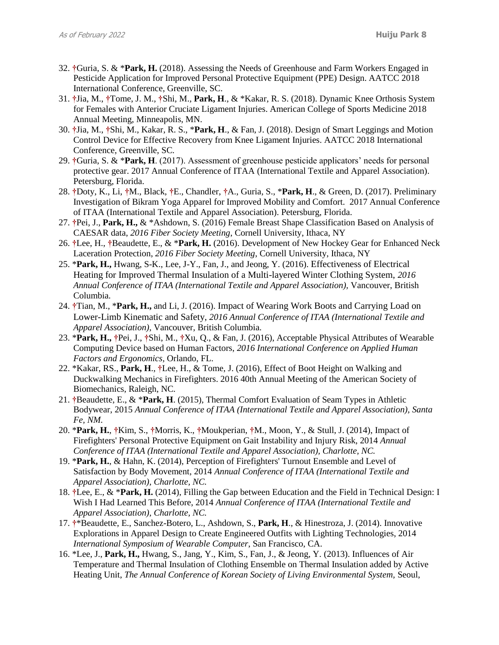- 32. **†**Guria, S. & \***Park, H.** (2018). Assessing the Needs of Greenhouse and Farm Workers Engaged in Pesticide Application for Improved Personal Protective Equipment (PPE) Design. AATCC 2018 International Conference, Greenville, SC.
- 31. **†**Jia, M., **†**Tome, J. M., **†**Shi, M., **Park, H**., & \*Kakar, R. S. (2018). Dynamic Knee Orthosis System for Females with Anterior Cruciate Ligament Injuries. American College of Sports Medicine 2018 Annual Meeting, Minneapolis, MN.
- 30. **†**Jia, M., **†**Shi, M., Kakar, R. S., \***Park, H**., & Fan, J. (2018). Design of Smart Leggings and Motion Control Device for Effective Recovery from Knee Ligament Injuries. AATCC 2018 International Conference, Greenville, SC.
- 29. **†**Guria, S. & \***Park, H**. (2017). Assessment of greenhouse pesticide applicators' needs for personal protective gear. 2017 Annual Conference of ITAA (International Textile and Apparel Association). Petersburg, Florida.
- 28. **†**Doty, K., Li, **†**M., Black, **†**E., Chandler, **†**A., Guria, S., \***Park, H**., & Green, D. (2017). Preliminary Investigation of Bikram Yoga Apparel for Improved Mobility and Comfort. 2017 Annual Conference of ITAA (International Textile and Apparel Association). Petersburg, Florida.
- 27. **†**Pei, J., **Park, H.,** & \*Ashdown, S. (2016) Female Breast Shape Classification Based on Analysis of CAESAR data, *2016 Fiber Society Meeting*, Cornell University, Ithaca, NY
- 26. **†**Lee, H., **†**Beaudette, E., & \***Park, H.** (2016). Development of New Hockey Gear for Enhanced Neck Laceration Protection, *2016 Fiber Society Meeting*, Cornell University, Ithaca, NY
- 25. \***Park, H.,** Hwang, S-K., Lee, J-Y., Fan, J., and Jeong, Y. (2016). Effectiveness of Electrical Heating for Improved Thermal Insulation of a Multi-layered Winter Clothing System, *2016 Annual Conference of ITAA (International Textile and Apparel Association),* Vancouver, British Columbia*.*
- 24. **†**Tian, M., \***Park, H.,** and Li, J. (2016). Impact of Wearing Work Boots and Carrying Load on Lower-Limb Kinematic and Safety, *2016 Annual Conference of ITAA (International Textile and Apparel Association),* Vancouver, British Columbia*.*
- 23. \***Park, H., †**Pei, J., **†**Shi, M., **†**Xu, Q., & Fan, J. (2016), Acceptable Physical Attributes of Wearable Computing Device based on Human Factors, *2016 International Conference on Applied Human Factors and Ergonomics,* Orlando, FL.
- 22. \*Kakar, RS., **Park, H**., **†**Lee, H., & Tome, J. (2016), Effect of Boot Height on Walking and Duckwalking Mechanics in Firefighters. 2016 40th Annual Meeting of the American Society of Biomechanics, Raleigh, NC.
- 21. **†**Beaudette, E., & \***Park, H**. (2015), Thermal Comfort Evaluation of Seam Types in Athletic Bodywear, 2015 *Annual Conference of ITAA (International Textile and Apparel Association), Santa Fe, NM.*
- 20. \***Park, H.**, **†**Kim, S., **†**Morris, K., **†**Moukperian, **†**M., Moon, Y., & Stull, J. (2014), Impact of Firefighters' Personal Protective Equipment on Gait Instability and Injury Risk, 2014 *Annual Conference of ITAA (International Textile and Apparel Association), Charlotte, NC.*
- 19. \***Park, H.**, & Hahn, K. (2014), Perception of Firefighters' Turnout Ensemble and Level of Satisfaction by Body Movement, 2014 *Annual Conference of ITAA (International Textile and Apparel Association), Charlotte, NC.*
- 18. **†**Lee, E., & \***Park, H.** (2014), Filling the Gap between Education and the Field in Technical Design: I Wish I Had Learned This Before, 2014 *Annual Conference of ITAA (International Textile and Apparel Association), Charlotte, NC.*
- 17. **†**\*Beaudette, E., Sanchez-Botero, L., Ashdown, S., **Park, H**., & Hinestroza, J. (2014). Innovative Explorations in Apparel Design to Create Engineered Outfits with Lighting Technologies, 2014 *International Symposium of Wearable Computer*, San Francisco, CA.
- 16. \*Lee, J., **Park, H.,** Hwang, S., Jang, Y., Kim, S., Fan, J., & Jeong, Y. (2013). Influences of Air Temperature and Thermal Insulation of Clothing Ensemble on Thermal Insulation added by Active Heating Unit, *The Annual Conference of Korean Society of Living Environmental System,* Seoul,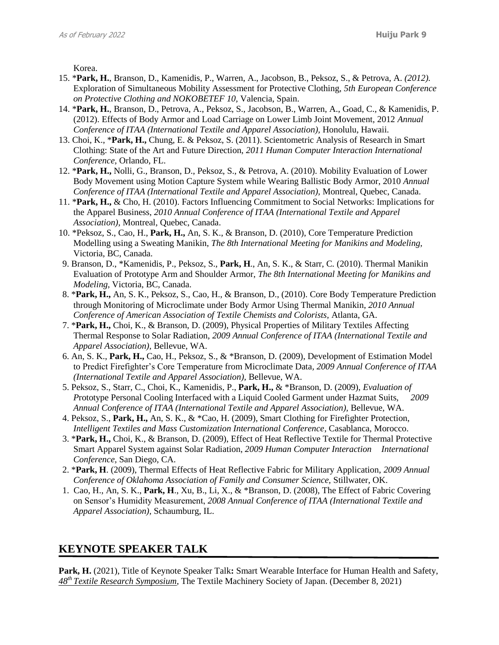Korea.

- 15. \***Park, H.**, Branson, D., Kamenidis, P., Warren, A., Jacobson, B., Peksoz, S., & Petrova, A. *(2012).* Exploration of Simultaneous Mobility Assessment for Protective Clothing, *5th European Conference on Protective Clothing and NOKOBETEF 10,* Valencia, Spain.
- 14. \***Park, H.**, Branson, D., Petrova, A., Peksoz, S., Jacobson, B., Warren, A., Goad, C., & Kamenidis, P. (2012). Effects of Body Armor and Load Carriage on Lower Limb Joint Movement, 2012 *Annual Conference of ITAA (International Textile and Apparel Association), Honolulu, Hawaii.*
- 13. Choi, K., \***Park, H.,** Chung, E. & Peksoz, S. (2011). Scientometric Analysis of Research in Smart Clothing: State of the Art and Future Direction, *2011 Human Computer Interaction International Conference,* Orlando, FL.
- 12. \***Park, H.,** Nolli, G., Branson, D., Peksoz, S., & Petrova, A. (2010). Mobility Evaluation of Lower Body Movement using Motion Capture System while Wearing Ballistic Body Armor, 2010 *Annual Conference of ITAA (International Textile and Apparel Association),* Montreal, Quebec, Canada.
- 11. \***Park, H.,** & Cho, H. (2010). Factors Influencing Commitment to Social Networks: Implications for the Apparel Business, *2010 Annual Conference of ITAA (International Textile and Apparel Association)*, Montreal, Quebec, Canada.
- 10. \*Peksoz, S., Cao, H., **Park, H.,** An, S. K., & Branson, D. (2010), Core Temperature Prediction Modelling using a Sweating Manikin, *The 8th International Meeting for Manikins and Modeling,*  Victoria, BC, Canada.
- 9. Branson, D., \*Kamenidis, P., Peksoz, S., **Park, H**., An, S. K., & Starr, C*.* (2010). Thermal Manikin Evaluation of Prototype Arm and Shoulder Armor, *The 8th International Meeting for Manikins and Modeling,* Victoria, BC, Canada.
- 8. \***Park, H.,** An, S. K., Peksoz, S., Cao, H., & Branson, D., (2010). Core Body Temperature Prediction through Monitoring of Microclimate under Body Armor Using Thermal Manikin, *2010 Annual Conference of American Association of Textile Chemists and Colorists,* Atlanta, GA.
- 7. \***Park, H.,** Choi, K., & Branson, D. (2009), Physical Properties of Military Textiles Affecting Thermal Response to Solar Radiation, *2009 Annual Conference of ITAA (International Textile and Apparel Association),* Bellevue, WA.
- 6. An, S. K., **Park, H.,** Cao, H., Peksoz, S., & \*Branson, D. (2009), Development of Estimation Model to Predict Firefighter's Core Temperature from Microclimate Data*, 2009 Annual Conference of ITAA (International Textile and Apparel Association),* Bellevue, WA.
- 5. Peksoz, S., Starr, C., Choi, K., Kamenidis, P., **Park, H.,** & \*Branson, D. (2009), *Evaluation of P*rototype Personal Cooling Interfaced with a Liquid Cooled Garment under Hazmat Suits, *2009*  Annual Conference of ITAA (International Textile and Apparel Association), Bellevue, WA.
- 4. Peksoz, S., **Park, H.,** An, S. K., & \*Cao, H. (2009), Smart Clothing for Firefighter Protection, *Intelligent Textiles and Mass Customization International Conference*, Casablanca, Morocco.
- 3. \***Park, H.,** Choi, K., & Branson, D. (2009), Effect of Heat Reflective Textile for Thermal Protective Smart Apparel System against Solar Radiation, *2009 Human Computer Interaction International Conference,* San Diego, CA.
- 2. \***Park, H**. (2009), Thermal Effects of Heat Reflective Fabric for Military Application, *2009 Annual Conference of Oklahoma Association of Family and Consumer Science,* Stillwater, OK.
- 1. Cao, H., An, S. K., **Park, H**., Xu, B., Li, X., & \*Branson, D. (2008), The Effect of Fabric Covering on Sensor's Humidity Measurement, *2008 Annual Conference of ITAA (International Textile and Apparel Association),* Schaumburg, IL.

# **KEYNOTE SPEAKER TALK**

**Park, H.** (2021), Title of Keynote Speaker Talk**:** Smart Wearable Interface for Human Health and Safety, *48th Textile Research Symposium*, The Textile Machinery Society of Japan. (December 8, 2021)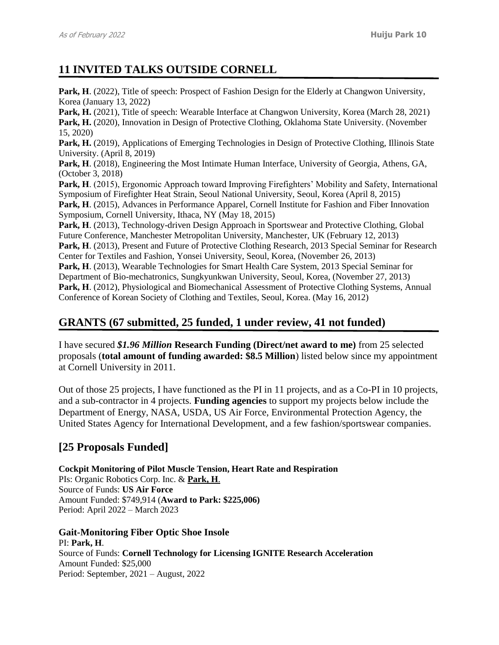# **11 INVITED TALKS OUTSIDE CORNELL**

Park, H. (2022), Title of speech: Prospect of Fashion Design for the Elderly at Changwon University, Korea (January 13, 2022)

Park, H. (2021), Title of speech: Wearable Interface at Changwon University, Korea (March 28, 2021) Park, H. (2020), Innovation in Design of Protective Clothing, Oklahoma State University. (November 15, 2020)

Park, H. (2019), Applications of Emerging Technologies in Design of Protective Clothing, Illinois State University. (April 8, 2019)

**Park, H**. (2018), Engineering the Most Intimate Human Interface, University of Georgia, Athens, GA, (October 3, 2018)

Park, H. (2015), Ergonomic Approach toward Improving Firefighters' Mobility and Safety, International Symposium of Firefighter Heat Strain, Seoul National University, Seoul, Korea (April 8, 2015)

**Park, H**. (2015), Advances in Performance Apparel, Cornell Institute for Fashion and Fiber Innovation Symposium, Cornell University, Ithaca, NY (May 18, 2015)

**Park, H**. (2013), Technology-driven Design Approach in Sportswear and Protective Clothing, Global Future Conference, Manchester Metropolitan University, Manchester, UK (February 12, 2013) **Park, H**. (2013), Present and Future of Protective Clothing Research, 2013 Special Seminar for Research

Center for Textiles and Fashion, Yonsei University, Seoul, Korea, (November 26, 2013) **Park, H**. (2013), Wearable Technologies for Smart Health Care System, 2013 Special Seminar for Department of Bio-mechatronics, Sungkyunkwan University, Seoul, Korea, (November 27, 2013) **Park, H**. (2012), Physiological and Biomechanical Assessment of Protective Clothing Systems, Annual Conference of Korean Society of Clothing and Textiles, Seoul, Korea. (May 16, 2012)

# **GRANTS (67 submitted, 25 funded, 1 under review, 41 not funded)**

I have secured *\$1.96 Million* **Research Funding (Direct/net award to me)** from 25 selected proposals (**total amount of funding awarded: \$8.5 Million**) listed below since my appointment at Cornell University in 2011.

Out of those 25 projects, I have functioned as the PI in 11 projects, and as a Co-PI in 10 projects, and a sub-contractor in 4 projects. **Funding agencies** to support my projects below include the Department of Energy, NASA, USDA, US Air Force, Environmental Protection Agency, the United States Agency for International Development, and a few fashion/sportswear companies.

# **[25 Proposals Funded]**

**Cockpit Monitoring of Pilot Muscle Tension, Heart Rate and Respiration**  PIs: Organic Robotics Corp. Inc. & **Park, H**. Source of Funds: **US Air Force** Amount Funded: \$749,914 (**Award to Park: \$225,006)** Period: April 2022 – March 2023

**Gait-Monitoring Fiber Optic Shoe Insole** PI: **Park, H**. Source of Funds: **Cornell Technology for Licensing IGNITE Research Acceleration** Amount Funded: \$25,000 Period: September, 2021 – August, 2022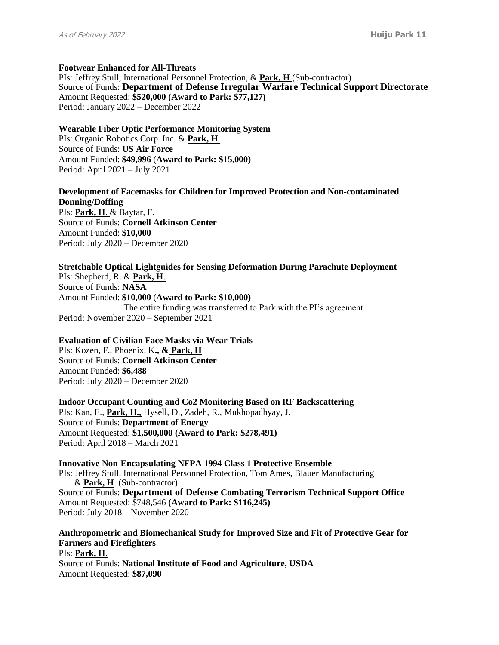#### **Footwear Enhanced for All-Threats**

PIs: Jeffrey Stull, International Personnel Protection, & **Park, H** (Sub-contractor) Source of Funds: **Department of Defense Irregular Warfare Technical Support Directorate** Amount Requested: **\$520,000 (Award to Park: \$77,127)** Period: January 2022 – December 2022

#### **Wearable Fiber Optic Performance Monitoring System**

PIs: Organic Robotics Corp. Inc. & **Park, H**. Source of Funds: **US Air Force** Amount Funded: **\$49,996** (**Award to Park: \$15,000**) Period: April 2021 – July 2021

### **Development of Facemasks for Children for Improved Protection and Non-contaminated Donning/Doffing**

PIs: **Park, H**. & Baytar, F. Source of Funds: **Cornell Atkinson Center** Amount Funded: **\$10,000**  Period: July 2020 – December 2020

### **Stretchable Optical Lightguides for Sensing Deformation During Parachute Deployment**

PIs: Shepherd, R. & **Park, H**. Source of Funds: **NASA** Amount Funded: **\$10,000** (**Award to Park: \$10,000)** The entire funding was transferred to Park with the PI's agreement. Period: November 2020 – September 2021

### **Evaluation of Civilian Face Masks via Wear Trials**

PIs: Kozen, F., Phoenix, K**., & Park, H** Source of Funds: **Cornell Atkinson Center** Amount Funded: **\$6,488**  Period: July 2020 – December 2020

**Indoor Occupant Counting and Co2 Monitoring Based on RF Backscattering** PIs: Kan, E., **Park, H.,** Hysell, D., Zadeh, R., Mukhopadhyay, J. Source of Funds: **Department of Energy** Amount Requested: **\$1,500,000 (Award to Park: \$278,491)** Period: April 2018 – March 2021

#### **Innovative Non-Encapsulating NFPA 1994 Class 1 Protective Ensemble**  PIs: Jeffrey Stull, International Personnel Protection, Tom Ames, Blauer Manufacturing & **Park, H**. (Sub-contractor) Source of Funds: **Department of Defense Combating Terrorism Technical Support Office** Amount Requested: \$748,546 **(Award to Park: \$116,245)** Period: July 2018 – November 2020

**Anthropometric and Biomechanical Study for Improved Size and Fit of Protective Gear for Farmers and Firefighters**

PIs: **Park, H**. Source of Funds: **National Institute of Food and Agriculture, USDA** Amount Requested: **\$87,090**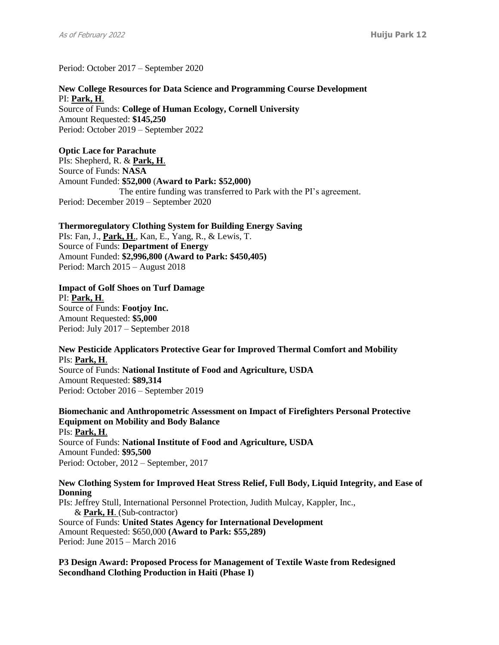Period: October 2017 – September 2020

**New College Resources for Data Science and Programming Course Development** PI: **Park, H**. Source of Funds: **College of Human Ecology, Cornell University** Amount Requested: **\$145,250** Period: October 2019 – September 2022

### **Optic Lace for Parachute**

PIs: Shepherd, R. & **Park, H**. Source of Funds: **NASA** Amount Funded: **\$52,000** (**Award to Park: \$52,000)** The entire funding was transferred to Park with the PI's agreement. Period: December 2019 – September 2020

**Thermoregulatory Clothing System for Building Energy Saving**

PIs: Fan, J., **Park, H**., Kan, E., Yang, R., & Lewis, T. Source of Funds: **Department of Energy** Amount Funded: **\$2,996,800 (Award to Park: \$450,405)** Period: March 2015 – August 2018

#### **Impact of Golf Shoes on Turf Damage**

PI: **Park, H**. Source of Funds: **Footjoy Inc.** Amount Requested: **\$5,000**  Period: July 2017 – September 2018

### **New Pesticide Applicators Protective Gear for Improved Thermal Comfort and Mobility** PIs: **Park, H**.

Source of Funds: **National Institute of Food and Agriculture, USDA** Amount Requested: **\$89,314** Period: October 2016 – September 2019

**Biomechanic and Anthropometric Assessment on Impact of Firefighters Personal Protective Equipment on Mobility and Body Balance** PIs: **Park, H**. Source of Funds: **National Institute of Food and Agriculture, USDA** Amount Funded: **\$95,500** Period: October, 2012 – September, 2017

### **New Clothing System for Improved Heat Stress Relief, Full Body, Liquid Integrity, and Ease of Donning**

PIs: Jeffrey Stull, International Personnel Protection, Judith Mulcay, Kappler, Inc., & **Park, H**. (Sub-contractor) Source of Funds: **United States Agency for International Development** Amount Requested: \$650,000 **(Award to Park: \$55,289)** Period: June 2015 – March 2016

**P3 Design Award: Proposed Process for Management of Textile Waste from Redesigned Secondhand Clothing Production in Haiti (Phase I)**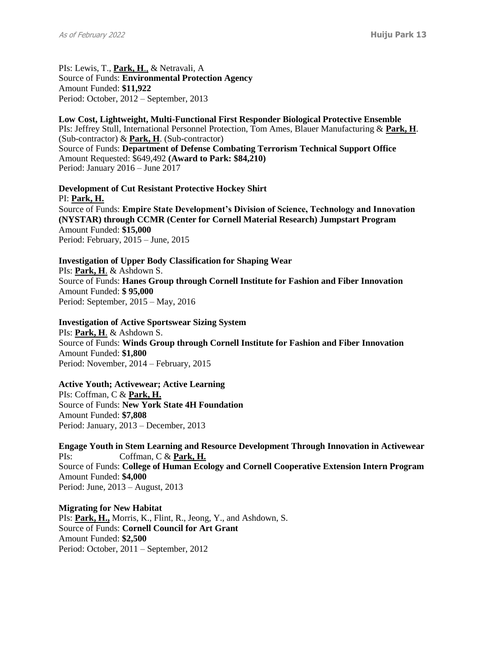PIs: Lewis, T., **Park, H**., & Netravali, A Source of Funds: **Environmental Protection Agency** Amount Funded: **\$11,922** Period: October, 2012 – September, 2013

**Low Cost, Lightweight, Multi-Functional First Responder Biological Protective Ensemble**  PIs: Jeffrey Stull, International Personnel Protection, Tom Ames, Blauer Manufacturing & **Park, H**. (Sub-contractor) & **Park, H**. (Sub-contractor) Source of Funds: **Department of Defense Combating Terrorism Technical Support Office** Amount Requested: \$649,492 **(Award to Park: \$84,210)** Period: January 2016 – June 2017

**Development of Cut Resistant Protective Hockey Shirt**  PI: **Park, H.** Source of Funds: **Empire State Development's Division of Science, Technology and Innovation (NYSTAR) through CCMR (Center for Cornell Material Research) Jumpstart Program** Amount Funded: **\$15,000** Period: February, 2015 – June, 2015

**Investigation of Upper Body Classification for Shaping Wear** PIs: **Park, H**. & Ashdown S. Source of Funds: **Hanes Group through Cornell Institute for Fashion and Fiber Innovation** Amount Funded: **\$ 95,000** Period: September, 2015 – May, 2016

**Investigation of Active Sportswear Sizing System** PIs: **Park, H**. & Ashdown S. Source of Funds: **Winds Group through Cornell Institute for Fashion and Fiber Innovation** Amount Funded: **\$1,800** Period: November, 2014 – February, 2015

**Active Youth; Activewear; Active Learning** PIs: Coffman, C & **Park, H.** Source of Funds: **New York State 4H Foundation** Amount Funded: **\$7,808** Period: January, 2013 – December, 2013

**Engage Youth in Stem Learning and Resource Development Through Innovation in Activewear** PIs: Coffman, C & **Park, H.** Source of Funds: **College of Human Ecology and Cornell Cooperative Extension Intern Program** Amount Funded: **\$4,000** Period: June, 2013 – August, 2013

**Migrating for New Habitat** PIs: **Park, H.,** Morris, K., Flint, R., Jeong, Y., and Ashdown, S. Source of Funds: **Cornell Council for Art Grant** Amount Funded: **\$2,500** Period: October, 2011 – September, 2012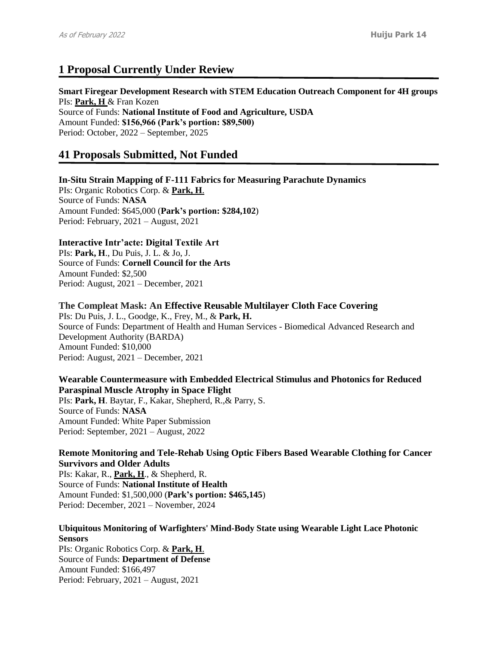# **1 Proposal Currently Under Review**

**Smart Firegear Development Research with STEM Education Outreach Component for 4H groups**  PIs: **Park, H** & Fran Kozen Source of Funds: **National Institute of Food and Agriculture, USDA** Amount Funded: **\$156,966 (Park's portion: \$89,500)** 

Period: October, 2022 – September, 2025

# **41 Proposals Submitted, Not Funded**

### **In-Situ Strain Mapping of F-111 Fabrics for Measuring Parachute Dynamics**

PIs: Organic Robotics Corp. & **Park, H**. Source of Funds: **NASA** Amount Funded: \$645,000 (**Park's portion: \$284,102**) Period: February, 2021 – August, 2021

### **Interactive Intr'acte: Digital Textile Art**

PIs: **Park, H**., Du Puis, J. L. & Jo, J. Source of Funds: **Cornell Council for the Arts** Amount Funded: \$2,500 Period: August, 2021 – December, 2021

**The Compleat Mask: An Effective Reusable Multilayer Cloth Face Covering** PIs: Du Puis, J. L., Goodge, K., Frey, M., & **Park, H.** Source of Funds: Department of Health and Human Services - Biomedical Advanced Research and Development Authority (BARDA) Amount Funded: \$10,000 Period: August, 2021 – December, 2021

**Wearable Countermeasure with Embedded Electrical Stimulus and Photonics for Reduced Paraspinal Muscle Atrophy in Space Flight** PIs: **Park, H**. Baytar, F., Kakar, Shepherd, R.,& Parry, S. Source of Funds: **NASA** Amount Funded: White Paper Submission Period: September, 2021 – August, 2022

### **Remote Monitoring and Tele-Rehab Using Optic Fibers Based Wearable Clothing for Cancer Survivors and Older Adults**

PIs: Kakar, R., **Park, H**., & Shepherd, R. Source of Funds: **National Institute of Health** Amount Funded: \$1,500,000 (**Park's portion: \$465,145**) Period: December, 2021 – November, 2024

### **Ubiquitous Monitoring of Warfighters' Mind-Body State using Wearable Light Lace Photonic Sensors**

PIs: Organic Robotics Corp. & **Park, H**. Source of Funds: **Department of Defense** Amount Funded: \$166,497 Period: February, 2021 – August, 2021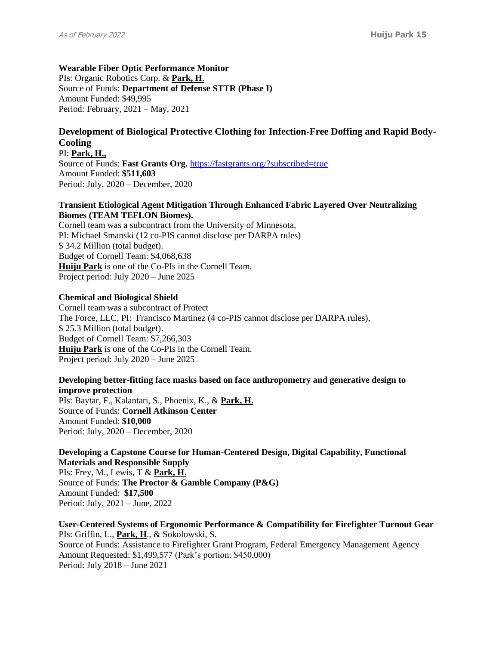**Wearable Fiber Optic Performance Monitor**  PIs: Organic Robotics Corp. & **Park, H**. Source of Funds: **Department of Defense STTR (Phase I)** Amount Funded: \$49,995 Period: February, 2021 – May, 2021

### **Development of Biological Protective Clothing for Infection-Free Doffing and Rapid Body-Cooling**

PI: **Park, H.,** Source of Funds: **Fast Grants Org.** <https://fastgrants.org/?subscribed=true> Amount Funded: **\$511,603** Period: July, 2020 – December, 2020

### **Transient Etiological Agent Mitigation Through Enhanced Fabric Layered Over Neutralizing Biomes (TEAM TEFLON Biomes).**

Cornell team was a subcontract from the University of Minnesota, PI: Michael Smanski (12 co-PIS cannot disclose per DARPA rules) \$ 34.2 Million (total budget). Budget of Cornell Team: \$4,068,638 **Huiju Park** is one of the Co-PIs in the Cornell Team. Project period: July 2020 – June 2025

### **Chemical and Biological Shield**

Cornell team was a subcontract of Protect The Force, LLC, PI: Francisco Martinez (4 co-PIS cannot disclose per DARPA rules), \$ 25.3 Million (total budget). Budget of Cornell Team: \$7,266,303 **Huiju Park** is one of the Co-PIs in the Cornell Team. Project period: July 2020 – June 2025

### **Developing better-fitting face masks based on face anthropometry and generative design to improve protection**

PIs: Baytar, F., Kalantari, S., Phoenix, K., & **Park, H.** Source of Funds: **Cornell Atkinson Center** Amount Funded: **\$10,000** Period: July, 2020 – December, 2020

### **Developing a Capstone Course for Human-Centered Design, Digital Capability, Functional Materials and Responsible Supply**

PIs: Frey, M., Lewis, T & **Park, H**. Source of Funds: **The Proctor & Gamble Company (P&G)** Amount Funded: **\$17,500** Period: July, 2021 – June, 2022

**User-Centered Systems of Ergonomic Performance & Compatibility for Firefighter Turnout Gear** PIs: Griffin, L., **Park, H**., & Sokolowski, S. Source of Funds: Assistance to Firefighter Grant Program, Federal Emergency Management Agency Amount Requested: \$1,499,577 (Park's portion: \$450,000) Period: July 2018 – June 2021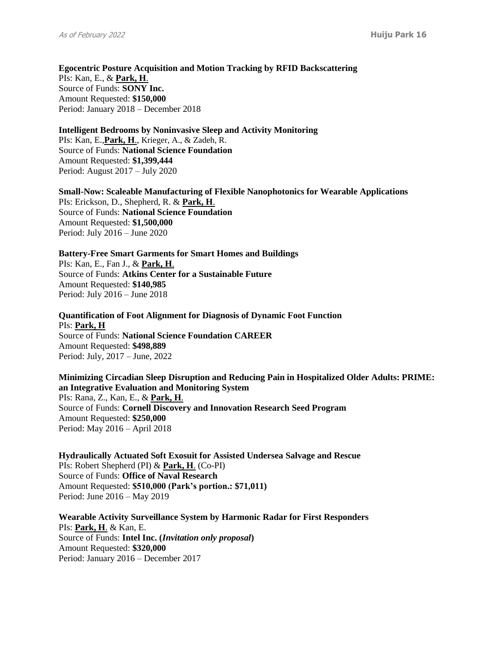**Egocentric Posture Acquisition and Motion Tracking by RFID Backscattering**  PIs: Kan, E., & **Park, H**. Source of Funds: **SONY Inc.** Amount Requested: **\$150,000** Period: January 2018 – December 2018

**Intelligent Bedrooms by Noninvasive Sleep and Activity Monitoring** PIs: Kan, E.,**Park, H**., Krieger, A., & Zadeh, R. Source of Funds: **National Science Foundation** Amount Requested: **\$1,399,444** Period: August 2017 – July 2020

**Small-Now: Scaleable Manufacturing of Flexible Nanophotonics for Wearable Applications** PIs: Erickson, D., Shepherd, R. & **Park, H**. Source of Funds: **National Science Foundation** Amount Requested: **\$1,500,000** Period: July 2016 – June 2020

**Battery-Free Smart Garments for Smart Homes and Buildings** PIs: Kan, E., Fan J., & **Park, H**. Source of Funds: **Atkins Center for a Sustainable Future** Amount Requested: **\$140,985** Period: July 2016 – June 2018

**Quantification of Foot Alignment for Diagnosis of Dynamic Foot Function** PIs: **Park, H** Source of Funds: **National Science Foundation CAREER** Amount Requested: **\$498,889** Period: July, 2017 – June, 2022

**Minimizing Circadian Sleep Disruption and Reducing Pain in Hospitalized Older Adults: PRIME: an Integrative Evaluation and Monitoring System** PIs: Rana, Z., Kan, E., & **Park, H**. Source of Funds: **Cornell Discovery and Innovation Research Seed Program** Amount Requested: **\$250,000** Period: May 2016 – April 2018

**Hydraulically Actuated Soft Exosuit for Assisted Undersea Salvage and Rescue**  PIs: Robert Shepherd (PI) & **Park, H**. (Co-PI) Source of Funds: **Office of Naval Research** Amount Requested: **\$510,000 (Park's portion.: \$71,011)** Period: June 2016 – May 2019

**Wearable Activity Surveillance System by Harmonic Radar for First Responders** PIs: **Park, H**. & Kan, E. Source of Funds: **Intel Inc. (***Invitation only proposal***)** Amount Requested: **\$320,000** Period: January 2016 – December 2017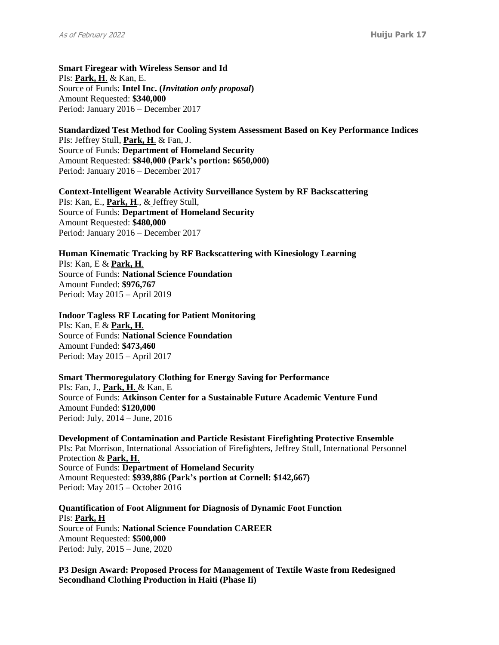**Smart Firegear with Wireless Sensor and Id** PIs: **Park, H**. & Kan, E. Source of Funds: **Intel Inc. (***Invitation only proposal***)** Amount Requested: **\$340,000**  Period: January 2016 – December 2017

**Standardized Test Method for Cooling System Assessment Based on Key Performance Indices**  PIs: Jeffrey Stull, **Park, H**. & Fan, J. Source of Funds: **Department of Homeland Security** Amount Requested: **\$840,000 (Park's portion: \$650,000)** Period: January 2016 – December 2017

**Context-Intelligent Wearable Activity Surveillance System by RF Backscattering**  PIs: Kan, E., **Park, H**., & Jeffrey Stull, Source of Funds: **Department of Homeland Security** Amount Requested: **\$480,000** Period: January 2016 – December 2017

**Human Kinematic Tracking by RF Backscattering with Kinesiology Learning**  PIs: Kan, E & **Park, H**. Source of Funds: **National Science Foundation** Amount Funded: **\$976,767** Period: May 2015 – April 2019

**Indoor Tagless RF Locating for Patient Monitoring** PIs: Kan, E & **Park, H**. Source of Funds: **National Science Foundation** Amount Funded: **\$473,460** Period: May 2015 – April 2017

**Smart Thermoregulatory Clothing for Energy Saving for Performance** PIs: Fan, J., **Park, H**. & Kan, E Source of Funds: **Atkinson Center for a Sustainable Future Academic Venture Fund** Amount Funded: **\$120,000** Period: July, 2014 – June, 2016

**Development of Contamination and Particle Resistant Firefighting Protective Ensemble**  PIs: Pat Morrison, International Association of Firefighters, Jeffrey Stull, International Personnel Protection & **Park, H**. Source of Funds: **Department of Homeland Security** Amount Requested: **\$939,886 (Park's portion at Cornell: \$142,667)** Period: May 2015 – October 2016

**Quantification of Foot Alignment for Diagnosis of Dynamic Foot Function** PIs: **Park, H** Source of Funds: **National Science Foundation CAREER** Amount Requested: **\$500,000** Period: July, 2015 – June, 2020

**P3 Design Award: Proposed Process for Management of Textile Waste from Redesigned Secondhand Clothing Production in Haiti (Phase Ii)**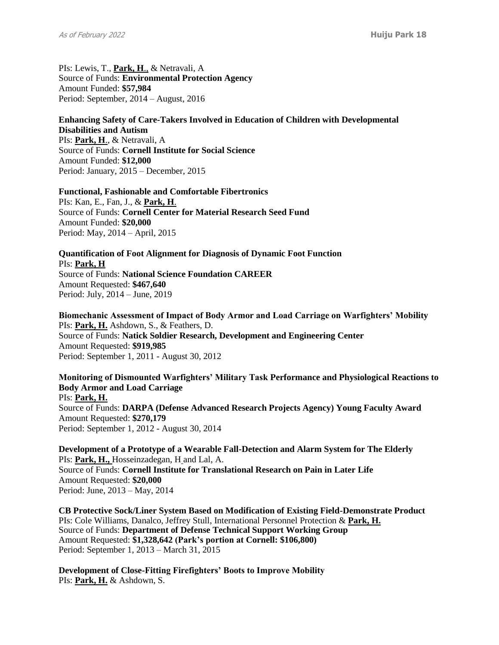PIs: Lewis, T., **Park, H**., & Netravali, A Source of Funds: **Environmental Protection Agency** Amount Funded: **\$57,984** Period: September, 2014 – August, 2016

### **Enhancing Safety of Care-Takers Involved in Education of Children with Developmental Disabilities and Autism**

PIs: **Park, H**., & Netravali, A Source of Funds: **Cornell Institute for Social Science** Amount Funded: **\$12,000** Period: January, 2015 – December, 2015

#### **Functional, Fashionable and Comfortable Fibertronics**

PIs: Kan, E., Fan, J., & **Park, H**. Source of Funds: **Cornell Center for Material Research Seed Fund** Amount Funded: **\$20,000** Period: May, 2014 – April, 2015

# **Quantification of Foot Alignment for Diagnosis of Dynamic Foot Function** PIs: **Park, H**

Source of Funds: **National Science Foundation CAREER** Amount Requested: **\$467,640** Period: July, 2014 – June, 2019

**Biomechanic Assessment of Impact of Body Armor and Load Carriage on Warfighters' Mobility** PIs: **Park, H.** Ashdown, S., & Feathers, D. Source of Funds: **Natick Soldier Research, Development and Engineering Center** Amount Requested: **\$919,985** Period: September 1, 2011 - August 30, 2012

**Monitoring of Dismounted Warfighters' Military Task Performance and Physiological Reactions to Body Armor and Load Carriage** PIs: **Park, H.** Source of Funds: **DARPA (Defense Advanced Research Projects Agency) Young Faculty Award** Amount Requested: **\$270,179** Period: September 1, 2012 - August 30, 2014

**Development of a Prototype of a Wearable Fall-Detection and Alarm System for The Elderly** PIs: **Park, H.,** Hosseinzadegan, H and Lal, A. Source of Funds: **Cornell Institute for Translational Research on Pain in Later Life** Amount Requested: **\$20,000** Period: June, 2013 – May, 2014

**CB Protective Sock/Liner System Based on Modification of Existing Field-Demonstrate Product** PIs: Cole Williams, Danalco, Jeffrey Stull, International Personnel Protection & **Park, H.** Source of Funds: **Department of Defense Technical Support Working Group** Amount Requested: **\$1,328,642 (Park's portion at Cornell: \$106,800)** Period: September 1, 2013 – March 31, 2015

**Development of Close-Fitting Firefighters' Boots to Improve Mobility** PIs: **Park, H.** & Ashdown, S.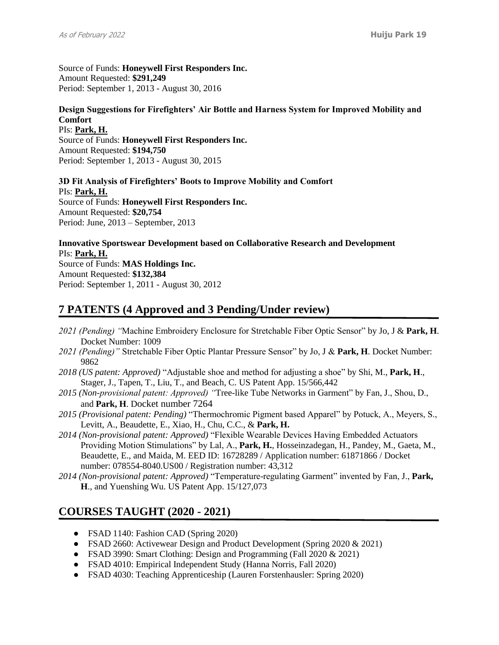Source of Funds: **Honeywell First Responders Inc.** Amount Requested: **\$291,249** Period: September 1, 2013 - August 30, 2016

### **Design Suggestions for Firefighters' Air Bottle and Harness System for Improved Mobility and Comfort**

PIs: **Park, H.** Source of Funds: **Honeywell First Responders Inc.** Amount Requested: **\$194,750** Period: September 1, 2013 - August 30, 2015

**3D Fit Analysis of Firefighters' Boots to Improve Mobility and Comfort** PIs: **Park, H.** Source of Funds: **Honeywell First Responders Inc.** Amount Requested: **\$20,754** Period: June, 2013 – September, 2013

**Innovative Sportswear Development based on Collaborative Research and Development**  PIs: **Park, H.** Source of Funds: **MAS Holdings Inc.**

Amount Requested: **\$132,384** Period: September 1, 2011 - August 30, 2012

# **7 PATENTS (4 Approved and 3 Pending/Under review)**

- *2021 (Pending) "*Machine Embroidery Enclosure for Stretchable Fiber Optic Sensor" by Jo, J & **Park, H**. Docket Number: 1009
- *2021 (Pending)"* Stretchable Fiber Optic Plantar Pressure Sensor" by Jo, J & **Park, H**. Docket Number: 9862
- *2018 (US patent: Approved)* "Adjustable shoe and method for adjusting a shoe" by Shi, M., **Park, H**., Stager, J., Tapen, T., Liu, T., and Beach, C. US Patent App. 15/566,442
- *2015 (Non-provisional patent: Approved) "*Tree-like Tube Networks in Garment" by Fan, J., Shou, D., and **Park, H**. Docket number 7264
- *2015 (Provisional patent: Pending)* "Thermochromic Pigment based Apparel" by Potuck, A., Meyers, S., Levitt, A., Beaudette, E., Xiao, H., Chu, C.C., & **Park, H.**
- *2014 (Non-provisional patent: Approved)* "Flexible Wearable Devices Having Embedded Actuators Providing Motion Stimulations" by Lal, A., **Park, H.**, Hosseinzadegan, H., Pandey, M., Gaeta, M., Beaudette, E., and Maida, M. EED ID: 16728289 / Application number: 61871866 / Docket number: 078554-8040.US00 / Registration number: 43,312
- *2014 (Non-provisional patent: Approved)* "Temperature-regulating Garment" invented by Fan, J., **Park, H**., and Yuenshing Wu. US Patent App. 15/127,073

# **COURSES TAUGHT (2020 - 2021)**

- FSAD 1140: Fashion CAD (Spring 2020)
- FSAD 2660: Activewear Design and Product Development (Spring 2020  $& 2021$ )
- FSAD 3990: Smart Clothing: Design and Programming (Fall 2020 & 2021)
- FSAD 4010: Empirical Independent Study (Hanna Norris, Fall 2020)
- FSAD 4030: Teaching Apprenticeship (Lauren Forstenhausler: Spring 2020)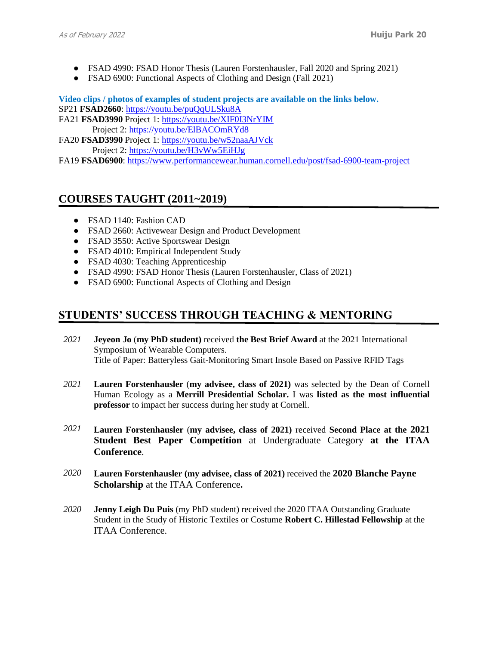- FSAD 4990: FSAD Honor Thesis (Lauren Forstenhausler, Fall 2020 and Spring 2021)
- FSAD 6900: Functional Aspects of Clothing and Design (Fall 2021)

**Video clips / photos of examples of student projects are available on the links below.**

SP21 **FSAD2660**:<https://youtu.be/puQqULSku8A>

FA21 **FSAD3990** Project 1:<https://youtu.be/XIF0I3NrYIM> Project 2:<https://youtu.be/ElBACOmRYd8>

FA20 **FSAD3990** Project 1:<https://youtu.be/w52naaAJVck> Project 2:<https://youtu.be/H3vWw5EiHJg>

FA19 **FSAD6900**:<https://www.performancewear.human.cornell.edu/post/fsad-6900-team-project>

# **COURSES TAUGHT (2011~2019)**

- FSAD 1140: Fashion CAD
- FSAD 2660: Activewear Design and Product Development
- FSAD 3550: Active Sportswear Design
- FSAD 4010: Empirical Independent Study
- FSAD 4030: Teaching Apprenticeship
- FSAD 4990: FSAD Honor Thesis (Lauren Forstenhausler, Class of 2021)
- FSAD 6900: Functional Aspects of Clothing and Design

# **STUDENTS' SUCCESS THROUGH TEACHING & MENTORING**

- *2021* **Jeyeon Jo** (**my PhD student)** received **the Best Brief Award** at the 2021 International Symposium of Wearable Computers. Title of Paper: Batteryless Gait-Monitoring Smart Insole Based on Passive RFID Tags
- *2021* **Lauren Forstenhausler** (**my advisee, class of 2021)** was selected by the Dean of Cornell Human Ecology as a **Merrill Presidential Scholar.** I was **listed as the most influential professor** to impact her success during her study at Cornell.
- *2021* **Lauren Forstenhausler** (**my advisee, class of 2021)** received **Second Place at the 2021 Student Best Paper Competition** at Undergraduate Category **at the ITAA Conference**.
- *2020* **Lauren Forstenhausler (my advisee, class of 2021)** received the **2020 Blanche Payne Scholarship** at the ITAA Conference**.**
- *2020* **Jenny Leigh Du Puis** (my PhD student) received the 2020 ITAA Outstanding Graduate Student in the Study of Historic Textiles or Costume **Robert C. Hillestad Fellowship** at the ITAA Conference.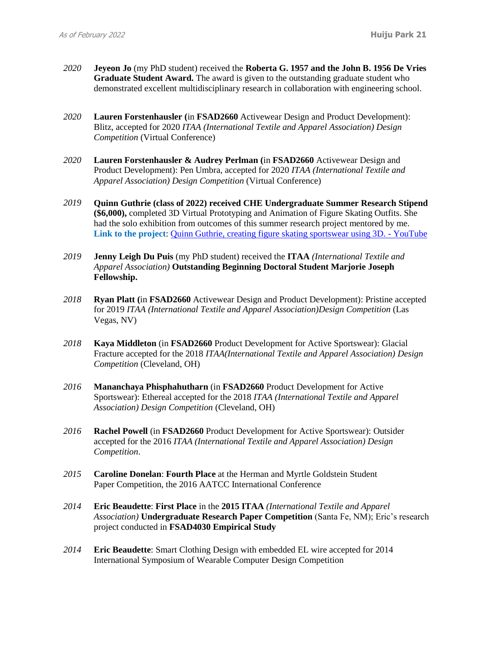- *2020* **Jeyeon Jo** (my PhD student) received the **Roberta G. 1957 and the John B. 1956 De Vries Graduate Student Award.** The award is given to the outstanding graduate student who demonstrated excellent multidisciplinary research in collaboration with engineering school.
- *2020* **Lauren Forstenhausler (**in **FSAD2660** Activewear Design and Product Development): Blitz, accepted for 2020 *ITAA (International Textile and Apparel Association) Design Competition* (Virtual Conference)
- *2020* **Lauren Forstenhausler & Audrey Perlman (**in **FSAD2660** Activewear Design and Product Development): Pen Umbra, accepted for 2020 *ITAA (International Textile and Apparel Association) Design Competition* (Virtual Conference)
- *2019* **Quinn Guthrie (class of 2022) received CHE Undergraduate Summer Research Stipend (\$6,000),** completed 3D Virtual Prototyping and Animation of Figure Skating Outfits. She had the solo exhibition from outcomes of this summer research project mentored by me. **Link to the project**: [Quinn Guthrie, creating figure skating sportswear using 3D. -](https://www.youtube.com/watch?v=YI6sK4ZwfM0&feature=youtu.be) YouTube
- *2019* **Jenny Leigh Du Puis** (my PhD student) received the **ITAA** *(International Textile and Apparel Association)* **Outstanding Beginning Doctoral Student Marjorie Joseph Fellowship.**
- *2018* **Ryan Platt (**in **FSAD2660** Activewear Design and Product Development): Pristine accepted for 2019 *ITAA (International Textile and Apparel Association)Design Competition* (Las Vegas, NV)
- *2018* **Kaya Middleton** (in **FSAD2660** Product Development for Active Sportswear): Glacial Fracture accepted for the 2018 *ITAA(International Textile and Apparel Association) Design Competition* (Cleveland, OH)
- *2016* **Mananchaya Phisphahutharn** (in **FSAD2660** Product Development for Active Sportswear): Ethereal accepted for the 2018 *ITAA (International Textile and Apparel Association) Design Competition* (Cleveland, OH)
- *2016* **Rachel Powell** (in **FSAD2660** Product Development for Active Sportswear): Outsider accepted for the 2016 *ITAA (International Textile and Apparel Association) Design Competition*.
- *2015* **Caroline Donelan**: **Fourth Place** at the Herman and Myrtle Goldstein Student Paper Competition, the 2016 AATCC International Conference
- *2014* **Eric Beaudette**: **First Place** in the **2015 ITAA** *(International Textile and Apparel Association)* **Undergraduate Research Paper Competition** (Santa Fe, NM); Eric's research project conducted in **FSAD4030 Empirical Study**
- *2014* **Eric Beaudette**: Smart Clothing Design with embedded EL wire accepted for 2014 International Symposium of Wearable Computer Design Competition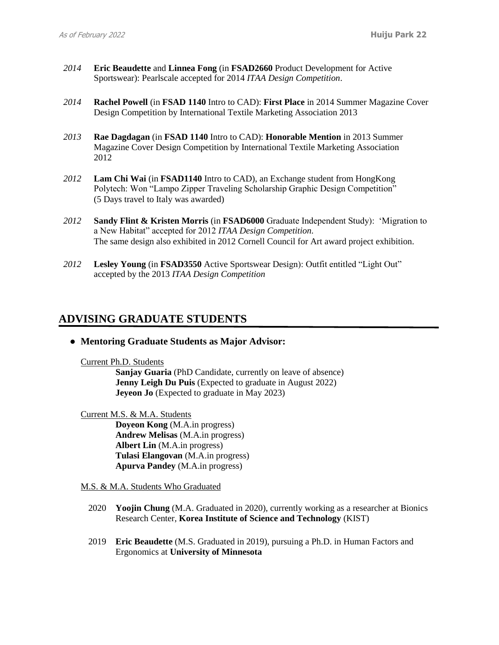- *2014* **Eric Beaudette** and **Linnea Fong** (in **FSAD2660** Product Development for Active Sportswear): Pearlscale accepted for 2014 *ITAA Design Competition*.
- *2014* **Rachel Powell** (in **FSAD 1140** Intro to CAD): **First Place** in 2014 Summer Magazine Cover Design Competition by International Textile Marketing Association 2013
- *2013* **Rae Dagdagan** (in **FSAD 1140** Intro to CAD): **Honorable Mention** in 2013 Summer Magazine Cover Design Competition by International Textile Marketing Association 2012
- *2012* **Lam Chi Wai** (in **FSAD1140** Intro to CAD), an Exchange student from HongKong Polytech: Won "Lampo Zipper Traveling Scholarship Graphic Design Competition" (5 Days travel to Italy was awarded)
- *2012* **Sandy Flint & Kristen Morris** (in **FSAD6000** Graduate Independent Study): 'Migration to a New Habitat" accepted for 2012 *ITAA Design Competition*. The same design also exhibited in 2012 Cornell Council for Art award project exhibition.
- *2012* **Lesley Young** (in **FSAD3550** Active Sportswear Design): Outfit entitled "Light Out" accepted by the 2013 *ITAA Design Competition*

# **ADVISING GRADUATE STUDENTS**

● **Mentoring Graduate Students as Major Advisor:**

Current Ph.D. Students

**Sanjay Guaria** (PhD Candidate, currently on leave of absence) **Jenny Leigh Du Puis** (Expected to graduate in August 2022) **Jeyeon Jo** (Expected to graduate in May 2023)

Current M.S. & M.A. Students **Doyeon Kong** (M.A.in progress) **Andrew Melisas** (M.A.in progress) **Albert Lin** (M.A.in progress) **Tulasi Elangovan** (M.A.in progress) **Apurva Pandey** (M.A.in progress)

M.S. & M.A. Students Who Graduated

- 2020 **Yoojin Chung** (M.A. Graduated in 2020), currently working as a researcher at Bionics Research Center, **Korea Institute of Science and Technology** (KIST)
- 2019 **Eric Beaudette** (M.S. Graduated in 2019), pursuing a Ph.D. in Human Factors and Ergonomics at **University of Minnesota**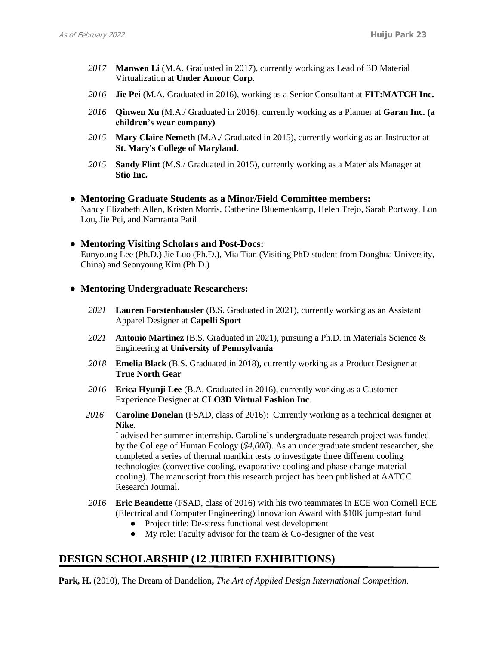- *2017* **Manwen Li** (M.A. Graduated in 2017), currently working as Lead of 3D Material Virtualization at **Under Amour Corp**.
- *2016* **Jie Pei** (M.A. Graduated in 2016), working as a Senior Consultant at **FIT:MATCH Inc.**
- *2016* **Qinwen Xu** (M.A./ Graduated in 2016), currently working as a Planner at **Garan Inc. (a children's wear company)**
- *2015* **Mary Claire Nemeth** (M.A./ Graduated in 2015), currently working as an Instructor at **St. Mary's College of Maryland.**
- *2015* **Sandy Flint** (M.S./ Graduated in 2015), currently working as a Materials Manager at **Stio Inc.**
- **Mentoring Graduate Students as a Minor/Field Committee members:**

Nancy Elizabeth Allen, Kristen Morris, Catherine Bluemenkamp, Helen Trejo, Sarah Portway, Lun Lou, Jie Pei, and Namranta Patil

● **Mentoring Visiting Scholars and Post-Docs:** Eunyoung Lee (Ph.D.) Jie Luo (Ph.D.), Mia Tian (Visiting PhD student from Donghua University, China) and Seonyoung Kim (Ph.D.)

### ● **Mentoring Undergraduate Researchers:**

- *2021* **Lauren Forstenhausler** (B.S. Graduated in 2021), currently working as an Assistant Apparel Designer at **Capelli Sport**
- *2021* **Antonio Martinez** (B.S. Graduated in 2021), pursuing a Ph.D. in Materials Science & Engineering at **University of Pennsylvania**
- *2018* **Emelia Black** (B.S. Graduated in 2018), currently working as a Product Designer at **True North Gear**
- *2016* **Erica Hyunji Lee** (B.A. Graduated in 2016), currently working as a Customer Experience Designer at **CLO3D Virtual Fashion Inc**.
- *2016* **Caroline Donelan** (FSAD, class of 2016): Currently working as a technical designer at **Nike**.

I advised her summer internship. Caroline's undergraduate research project was funded by the College of Human Ecology (*\$4,000*). As an undergraduate student researcher, she completed a series of thermal manikin tests to investigate three different cooling technologies (convective cooling, evaporative cooling and phase change material cooling). The manuscript from this research project has been published at AATCC Research Journal.

- *2016* **Eric Beaudette** (FSAD, class of 2016) with his two teammates in ECE won Cornell ECE (Electrical and Computer Engineering) Innovation Award with \$10K jump-start fund
	- Project title: De-stress functional vest development
	- My role: Faculty advisor for the team & Co-designer of the vest

# **DESIGN SCHOLARSHIP (12 JURIED EXHIBITIONS)**

**Park, H.** (2010), The Dream of Dandelion**,** *The Art of Applied Design International Competition,*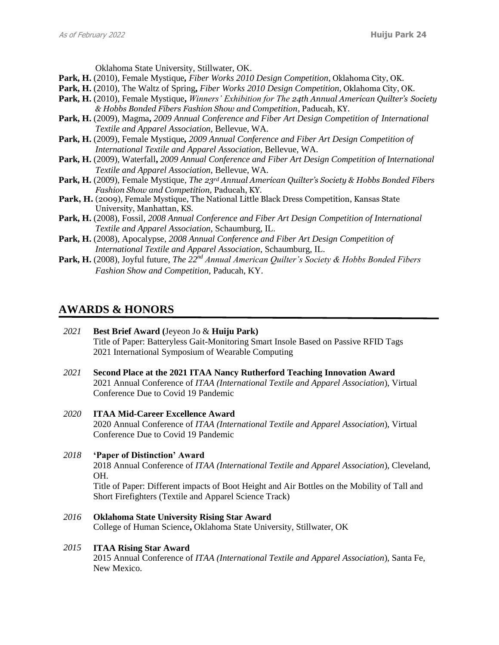Oklahoma State University, Stillwater, OK.

- **Park, H.** (2010), Female Mystique*, Fiber Works 2010 Design Competition*, Oklahoma City, OK.
- **Park, H.** (2010), The Waltz of Spring**,** *Fiber Works 2010 Design Competition,* Oklahoma City, OK.
- **Park, H.** (2010), Female Mystique**,** *Winners' Exhibition for The 24th Annual American Quilter's Society & Hobbs Bonded Fibers Fashion Show and Competition*, Paducah, KY.
- **Park, H.** (2009), Magma**,** *2009 Annual Conference and Fiber Art Design Competition of International Textile and Apparel Association,* Bellevue, WA.
- **Park, H.** (2009), Female Mystique*, 2009 Annual Conference and Fiber Art Design Competition of International Textile and Apparel Association*, Bellevue, WA.
- **Park, H.** (2009), Waterfall**,** *2009 Annual Conference and Fiber Art Design Competition of International Textile and Apparel Association*, Bellevue, WA.
- **Park, H.** (2009), Female Mystique*, The 23rd Annual American Quilter's Society & Hobbs Bonded Fibers Fashion Show and Competition,* Paducah, KY.
- Park, H. (2009), Female Mystique, The National Little Black Dress Competition, Kansas State University, Manhattan, KS.
- **Park, H.** (2008), Fossil*, 2008 Annual Conference and Fiber Art Design Competition of International Textile and Apparel Association*, Schaumburg, IL.
- **Park, H.** (2008), Apocalypse, *2008 Annual Conference and Fiber Art Design Competition of International Textile and Apparel Association*, Schaumburg, IL.
- **Park, H.** (2008), Joyful future, *The 22nd Annual American Quilter's Society & Hobbs Bonded Fibers Fashion Show and Competition,* Paducah, KY.

### **AWARDS & HONORS**

- *2021* **Best Brief Award (**Jeyeon Jo & **Huiju Park)** Title of Paper: Batteryless Gait-Monitoring Smart Insole Based on Passive RFID Tags 2021 International Symposium of Wearable Computing
- *2021* **Second Place at the 2021 ITAA Nancy Rutherford Teaching Innovation Award** 2021 Annual Conference of *ITAA (International Textile and Apparel Association*), Virtual Conference Due to Covid 19 Pandemic
- *2020* **ITAA Mid-Career Excellence Award** 2020 Annual Conference of *ITAA (International Textile and Apparel Association*), Virtual Conference Due to Covid 19 Pandemic
- *2018* **'Paper of Distinction' Award**  2018 Annual Conference of *ITAA (International Textile and Apparel Association*), Cleveland, OH.

Title of Paper: Different impacts of Boot Height and Air Bottles on the Mobility of Tall and Short Firefighters (Textile and Apparel Science Track)

*2016* **Oklahoma State University Rising Star Award** College of Human Science**,** Oklahoma State University, Stillwater, OK

#### *2015* **ITAA Rising Star Award**

2015 Annual Conference of *ITAA (International Textile and Apparel Association*), Santa Fe, New Mexico.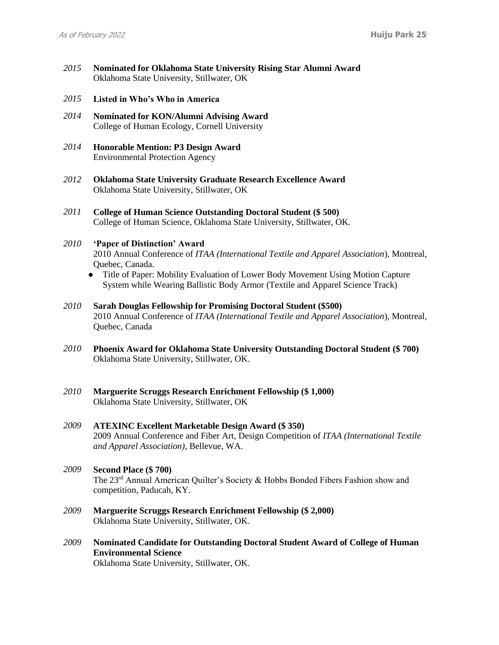- *2015* **Nominated for Oklahoma State University Rising Star Alumni Award** Oklahoma State University, Stillwater, OK
- *2015* **Listed in Who's Who in America**
- *2014* **Nominated for KON/Alumni Advising Award** College of Human Ecology, Cornell University
- *2014* **Honorable Mention: P3 Design Award** Environmental Protection Agency
- *2012* **Oklahoma State University Graduate Research Excellence Award** Oklahoma State University, Stillwater, OK
- *2011* **College of Human Science Outstanding Doctoral Student (\$ 500)** College of Human Science, Oklahoma State University, Stillwater, OK.

#### *2010* **'Paper of Distinction' Award**

2010 Annual Conference of *ITAA (International Textile and Apparel Association*), Montreal, Quebec, Canada.

- Title of Paper: Mobility Evaluation of Lower Body Movement Using Motion Capture System while Wearing Ballistic Body Armor (Textile and Apparel Science Track)
- *2010* **Sarah Douglas Fellowship for Promising Doctoral Student (\$500)** 2010 Annual Conference of *ITAA (International Textile and Apparel Association*), Montreal, Quebec, Canada
- *2010* **Phoenix Award for Oklahoma State University Outstanding Doctoral Student (\$ 700)** Oklahoma State University, Stillwater, OK.
- *2010* **Marguerite Scruggs Research Enrichment Fellowship (\$ 1,000)** Oklahoma State University, Stillwater, OK
- *2009* **ATEXINC Excellent Marketable Design Award (\$ 350)** 2009 Annual Conference and Fiber Art, Design Competition of *ITAA (International Textile and Apparel Association)*, Bellevue, WA.
- *2009* **Second Place (\$ 700)** The 23rd Annual American Quilter's Society & Hobbs Bonded Fibers Fashion show and competition, Paducah, KY.
- *2009* **Marguerite Scruggs Research Enrichment Fellowship (\$ 2,000)** Oklahoma State University, Stillwater, OK.
- *2009* **Nominated Candidate for Outstanding Doctoral Student Award of College of Human Environmental Science**

Oklahoma State University, Stillwater, OK.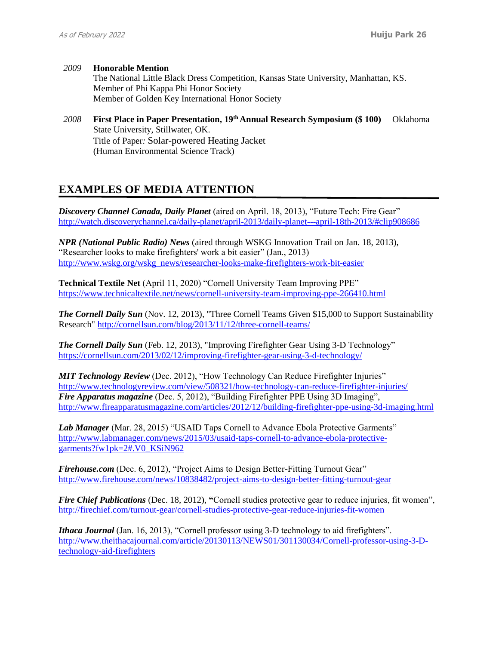- *2009* **Honorable Mention** The National Little Black Dress Competition, Kansas State University, Manhattan, KS. Member of Phi Kappa Phi Honor Society Member of Golden Key International Honor Society
- *2008* **First Place in Paper Presentation, 19th Annual Research Symposium (\$ 100)** Oklahoma State University, Stillwater, OK. Title of Paper*:* Solar-powered Heating Jacket (Human Environmental Science Track)

# **EXAMPLES OF MEDIA ATTENTION**

*Discovery Channel Canada, Daily Planet* (aired on April. 18, 2013), "Future Tech: Fire Gear" <http://watch.discoverychannel.ca/daily-planet/april-2013/daily-planet---april-18th-2013/#clip908686>

*NPR (National Public Radio) News* (aired through WSKG Innovation Trail on Jan. 18, 2013), "Researcher looks to make firefighters' work a bit easier" (Jan., 2013) [http://www.wskg.org/wskg\\_news/researcher-looks-make-firefighters-work-bit-easier](http://www.wskg.org/wskg_news/researcher-looks-make-firefighters-work-bit-easier)

**Technical Textile Net** (April 11, 2020) "Cornell University Team Improving PPE" <https://www.technicaltextile.net/news/cornell-university-team-improving-ppe-266410.html>

*The Cornell Daily Sun* (Nov. 12, 2013), "Three Cornell Teams Given \$15,000 to Support Sustainability Research"<http://cornellsun.com/blog/2013/11/12/three-cornell-teams/>

*The Cornell Daily Sun* (Feb. 12, 2013), "Improving Firefighter Gear Using 3-D Technology" <https://cornellsun.com/2013/02/12/improving-firefighter-gear-using-3-d-technology/>

*MIT Technology Review* (Dec. 2012), "How Technology Can Reduce Firefighter Injuries" <http://www.technologyreview.com/view/508321/how-technology-can-reduce-firefighter-injuries/> *Fire Apparatus magazine* (Dec. 5, 2012), "Building Firefighter PPE Using 3D Imaging", <http://www.fireapparatusmagazine.com/articles/2012/12/building-firefighter-ppe-using-3d-imaging.html>

*Lab Manager* (Mar. 28, 2015) "USAID Taps Cornell to Advance Ebola Protective Garments" [http://www.labmanager.com/news/2015/03/usaid-taps-cornell-to-advance-ebola-protective](http://www.labmanager.com/news/2015/03/usaid-taps-cornell-to-advance-ebola-protective-garments?fw1pk=2#.V0_KSiN962)[garments?fw1pk=2#.V0\\_KSiN962](http://www.labmanager.com/news/2015/03/usaid-taps-cornell-to-advance-ebola-protective-garments?fw1pk=2#.V0_KSiN962)

*Firehouse.com* (Dec. 6, 2012), "Project Aims to Design Better-Fitting Turnout Gear" <http://www.firehouse.com/news/10838482/project-aims-to-design-better-fitting-turnout-gear>

*Fire Chief Publications* (Dec. 18, 2012), **"**Cornell studies protective gear to reduce injuries, fit women", <http://firechief.com/turnout-gear/cornell-studies-protective-gear-reduce-injuries-fit-women>

*Ithaca Journal* (Jan. 16, 2013), "Cornell professor using 3-D technology to aid firefighters". [http://www.theithacajournal.com/article/20130113/NEWS01/301130034/Cornell-professor-using-3-D](http://www.theithacajournal.com/article/20130113/NEWS01/301130034/Cornell-professor-using-3-D-technology-aid-firefighters)[technology-aid-firefighters](http://www.theithacajournal.com/article/20130113/NEWS01/301130034/Cornell-professor-using-3-D-technology-aid-firefighters)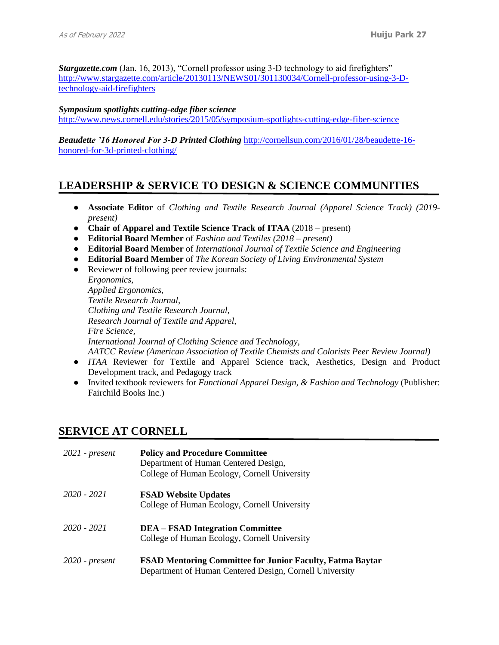*Stargazette.com* (Jan. 16, 2013), "Cornell professor using 3-D technology to aid firefighters" [http://www.stargazette.com/article/20130113/NEWS01/301130034/Cornell-professor-using-3-D](http://www.stargazette.com/article/20130113/NEWS01/301130034/Cornell-professor-using-3-D-technology-aid-firefighters)[technology-aid-firefighters](http://www.stargazette.com/article/20130113/NEWS01/301130034/Cornell-professor-using-3-D-technology-aid-firefighters)

### *Symposium spotlights cutting-edge fiber science*

<http://www.news.cornell.edu/stories/2015/05/symposium-spotlights-cutting-edge-fiber-science>

*Beaudette '16 Honored For 3-D Printed Clothing* [http://cornellsun.com/2016/01/28/beaudette-16](http://cornellsun.com/2016/01/28/beaudette-16-honored-for-3d-printed-clothing/) [honored-for-3d-printed-clothing/](http://cornellsun.com/2016/01/28/beaudette-16-honored-for-3d-printed-clothing/)

# **LEADERSHIP & SERVICE TO DESIGN & SCIENCE COMMUNITIES**

- **Associate Editor** of *Clothing and Textile Research Journal (Apparel Science Track) (2019 present)*
- **Chair of Apparel and Textile Science Track of ITAA** (2018 present)
- **Editorial Board Member** of *Fashion and Textiles (2018 – present)*
- **Editorial Board Member** of *International Journal of Textile Science and Engineering*
- **Editorial Board Member** of *The Korean Society of Living Environmental System*
- Reviewer of following peer review journals:

*Ergonomics, Applied Ergonomics, Textile Research Journal, Clothing and Textile Research Journal, Research Journal of Textile and Apparel, Fire Science, International Journal of Clothing Science and Technology, AATCC Review (American Association of Textile Chemists and Colorists Peer Review Journal)*

- *ITAA* Reviewer for Textile and Apparel Science track, Aesthetics, Design and Product Development track, and Pedagogy track
- Invited textbook reviewers for *Functional Apparel Design, & Fashion and Technology* (Publisher: Fairchild Books Inc.)

### **SERVICE AT CORNELL**

| $2021$ - present | <b>Policy and Procedure Committee</b><br>Department of Human Centered Design,<br>College of Human Ecology, Cornell University |
|------------------|-------------------------------------------------------------------------------------------------------------------------------|
| $2020 - 2021$    | <b>FSAD Website Updates</b><br>College of Human Ecology, Cornell University                                                   |
| $2020 - 2021$    | <b>DEA – FSAD Integration Committee</b><br>College of Human Ecology, Cornell University                                       |
| $2020$ - present | <b>FSAD Mentoring Committee for Junior Faculty, Fatma Baytar</b><br>Department of Human Centered Design, Cornell University   |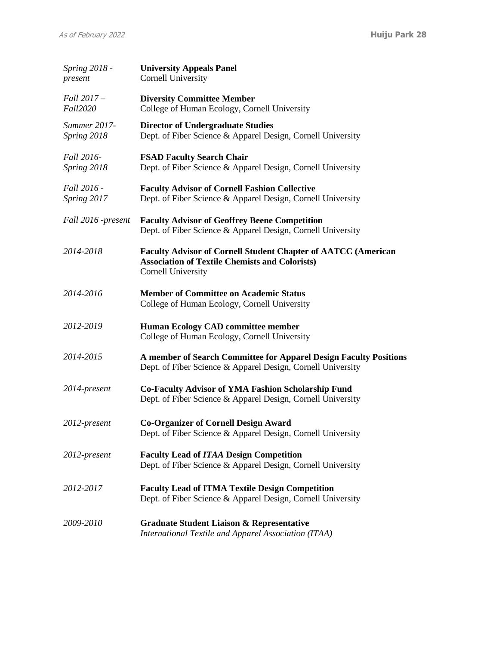| Spring 2018 -<br>present    | <b>University Appeals Panel</b><br>Cornell University                                                                                                      |
|-----------------------------|------------------------------------------------------------------------------------------------------------------------------------------------------------|
| Fall 2017 -<br>Fall2020     | <b>Diversity Committee Member</b><br>College of Human Ecology, Cornell University                                                                          |
| Summer 2017-<br>Spring 2018 | <b>Director of Undergraduate Studies</b><br>Dept. of Fiber Science & Apparel Design, Cornell University                                                    |
| Fall 2016-<br>Spring 2018   | <b>FSAD Faculty Search Chair</b><br>Dept. of Fiber Science & Apparel Design, Cornell University                                                            |
| Fall 2016 -<br>Spring 2017  | <b>Faculty Advisor of Cornell Fashion Collective</b><br>Dept. of Fiber Science & Apparel Design, Cornell University                                        |
| Fall 2016 -present          | <b>Faculty Advisor of Geoffrey Beene Competition</b><br>Dept. of Fiber Science & Apparel Design, Cornell University                                        |
| 2014-2018                   | <b>Faculty Advisor of Cornell Student Chapter of AATCC (American</b><br><b>Association of Textile Chemists and Colorists)</b><br><b>Cornell University</b> |
| 2014-2016                   | <b>Member of Committee on Academic Status</b><br>College of Human Ecology, Cornell University                                                              |
| 2012-2019                   | <b>Human Ecology CAD committee member</b><br>College of Human Ecology, Cornell University                                                                  |
| 2014-2015                   | A member of Search Committee for Apparel Design Faculty Positions<br>Dept. of Fiber Science & Apparel Design, Cornell University                           |
| 2014-present                | <b>Co-Faculty Advisor of YMA Fashion Scholarship Fund</b><br>Dept. of Fiber Science & Apparel Design, Cornell University                                   |
| 2012-present                | <b>Co-Organizer of Cornell Design Award</b><br>Dept. of Fiber Science & Apparel Design, Cornell University                                                 |
| 2012-present                | <b>Faculty Lead of ITAA Design Competition</b><br>Dept. of Fiber Science & Apparel Design, Cornell University                                              |
| 2012-2017                   | <b>Faculty Lead of ITMA Textile Design Competition</b><br>Dept. of Fiber Science & Apparel Design, Cornell University                                      |
| 2009-2010                   | <b>Graduate Student Liaison &amp; Representative</b><br><b>International Textile and Apparel Association (ITAA)</b>                                        |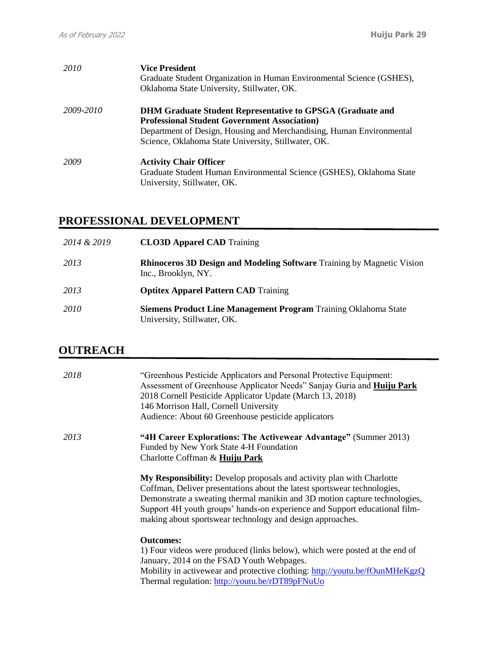| 2010      | <b>Vice President</b><br>Graduate Student Organization in Human Environmental Science (GSHES),<br>Oklahoma State University, Stillwater, OK.                                                                                                             |
|-----------|----------------------------------------------------------------------------------------------------------------------------------------------------------------------------------------------------------------------------------------------------------|
| 2009-2010 | <b>DHM Graduate Student Representative to GPSGA (Graduate and</b><br><b>Professional Student Government Association</b> )<br>Department of Design, Housing and Merchandising, Human Environmental<br>Science, Oklahoma State University, Stillwater, OK. |
| 2009      | <b>Activity Chair Officer</b><br>Graduate Student Human Environmental Science (GSHES), Oklahoma State<br>University, Stillwater, OK.                                                                                                                     |

# **PROFESSIONAL DEVELOPMENT**

| 2014 & 2019 | <b>CLO3D Apparel CAD</b> Training                                                                     |
|-------------|-------------------------------------------------------------------------------------------------------|
| 2013        | <b>Rhinoceros 3D Design and Modeling Software</b> Training by Magnetic Vision<br>Inc., Brooklyn, NY.  |
| 2013        | <b>Optitex Apparel Pattern CAD</b> Training                                                           |
| 2010        | <b>Siemens Product Line Management Program Training Oklahoma State</b><br>University, Stillwater, OK. |

# **OUTREACH**

| 2018 | "Greenhous Pesticide Applicators and Personal Protective Equipment:<br>Assessment of Greenhouse Applicator Needs" Sanjay Guria and Huiju Park<br>2018 Cornell Pesticide Applicator Update (March 13, 2018)<br>146 Morrison Hall, Cornell University<br>Audience: About 60 Greenhouse pesticide applicators                                                                 |
|------|----------------------------------------------------------------------------------------------------------------------------------------------------------------------------------------------------------------------------------------------------------------------------------------------------------------------------------------------------------------------------|
| 2013 | "4H Career Explorations: The Activewear Advantage" (Summer 2013)<br>Funded by New York State 4-H Foundation<br>Charlotte Coffman & Huiju Park                                                                                                                                                                                                                              |
|      | My Responsibility: Develop proposals and activity plan with Charlotte<br>Coffman, Deliver presentations about the latest sportswear technologies,<br>Demonstrate a sweating thermal manikin and 3D motion capture technologies,<br>Support 4H youth groups' hands-on experience and Support educational film-<br>making about sportswear technology and design approaches. |
|      | <b>Outcomes:</b><br>1) Four videos were produced (links below), which were posted at the end of<br>January, 2014 on the FSAD Youth Webpages.<br>Mobility in activewear and protective clothing: http://youtu.be/fOunMHeKgzQ<br>Thermal regulation: http://youtu.be/rDT89pFNuUo                                                                                             |